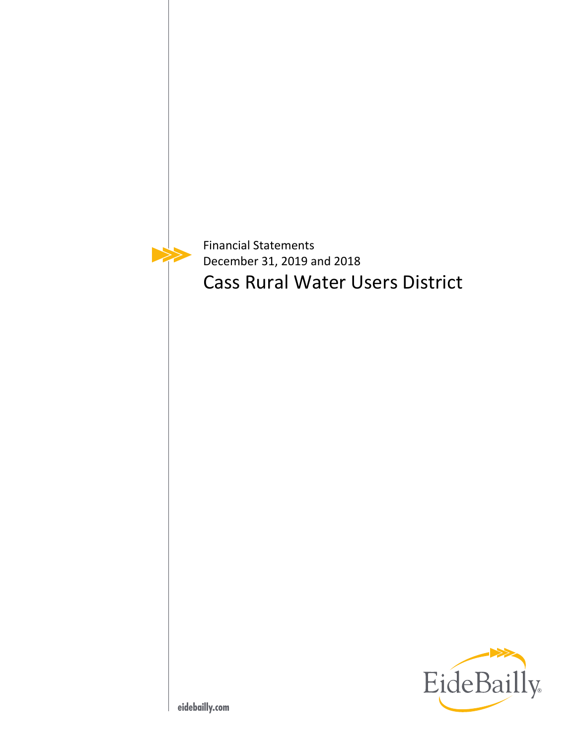Financial Statements December 31, 2019 and 2018 Cass Rural Water Users District

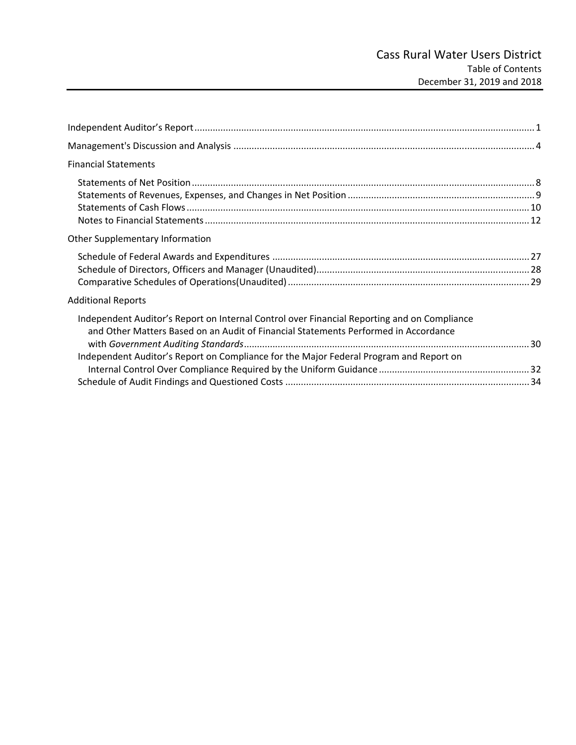| <b>Financial Statements</b>                                                                                                                                                                                                                                                  |  |
|------------------------------------------------------------------------------------------------------------------------------------------------------------------------------------------------------------------------------------------------------------------------------|--|
|                                                                                                                                                                                                                                                                              |  |
| Other Supplementary Information                                                                                                                                                                                                                                              |  |
|                                                                                                                                                                                                                                                                              |  |
| <b>Additional Reports</b>                                                                                                                                                                                                                                                    |  |
| Independent Auditor's Report on Internal Control over Financial Reporting and on Compliance<br>and Other Matters Based on an Audit of Financial Statements Performed in Accordance<br>Independent Auditor's Report on Compliance for the Major Federal Program and Report on |  |
|                                                                                                                                                                                                                                                                              |  |
|                                                                                                                                                                                                                                                                              |  |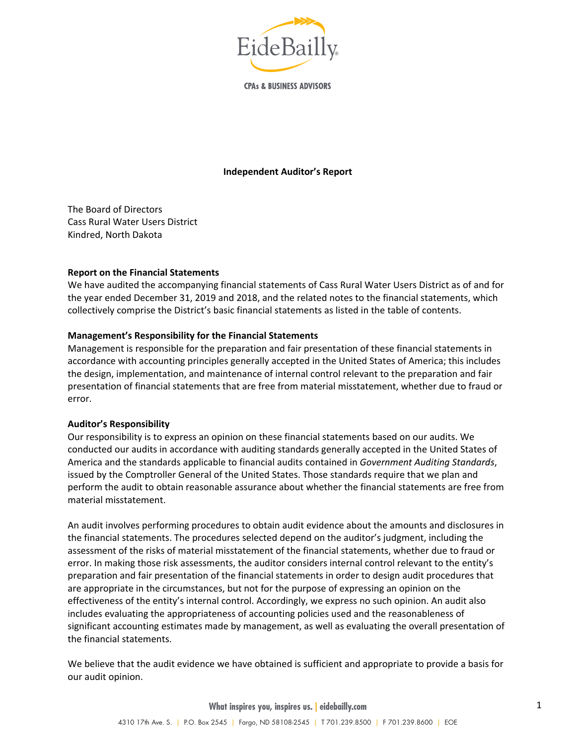

**CPAs & BUSINESS ADVISORS** 

#### **Independent Auditor's Report**

The Board of Directors Cass Rural Water Users District Kindred, North Dakota

#### **Report on the Financial Statements**

We have audited the accompanying financial statements of Cass Rural Water Users District as of and for the year ended December 31, 2019 and 2018, and the related notes to the financial statements, which collectively comprise the District's basic financial statements as listed in the table of contents.

#### **Management's Responsibility for the Financial Statements**

Management is responsible for the preparation and fair presentation of these financial statements in accordance with accounting principles generally accepted in the United States of America; this includes the design, implementation, and maintenance of internal control relevant to the preparation and fair presentation of financial statements that are free from material misstatement, whether due to fraud or error.

#### **Auditor's Responsibility**

Our responsibility is to express an opinion on these financial statements based on our audits. We conducted our audits in accordance with auditing standards generally accepted in the United States of America and the standards applicable to financial audits contained in *Government Auditing Standards*, issued by the Comptroller General of the United States. Those standards require that we plan and perform the audit to obtain reasonable assurance about whether the financial statements are free from material misstatement.

An audit involves performing procedures to obtain audit evidence about the amounts and disclosures in the financial statements. The procedures selected depend on the auditor's judgment, including the assessment of the risks of material misstatement of the financial statements, whether due to fraud or error. In making those risk assessments, the auditor considers internal control relevant to the entity's preparation and fair presentation of the financial statements in order to design audit procedures that are appropriate in the circumstances, but not for the purpose of expressing an opinion on the effectiveness of the entity's internal control. Accordingly, we express no such opinion. An audit also includes evaluating the appropriateness of accounting policies used and the reasonableness of significant accounting estimates made by management, as well as evaluating the overall presentation of the financial statements.

We believe that the audit evidence we have obtained is sufficient and appropriate to provide a basis for our audit opinion.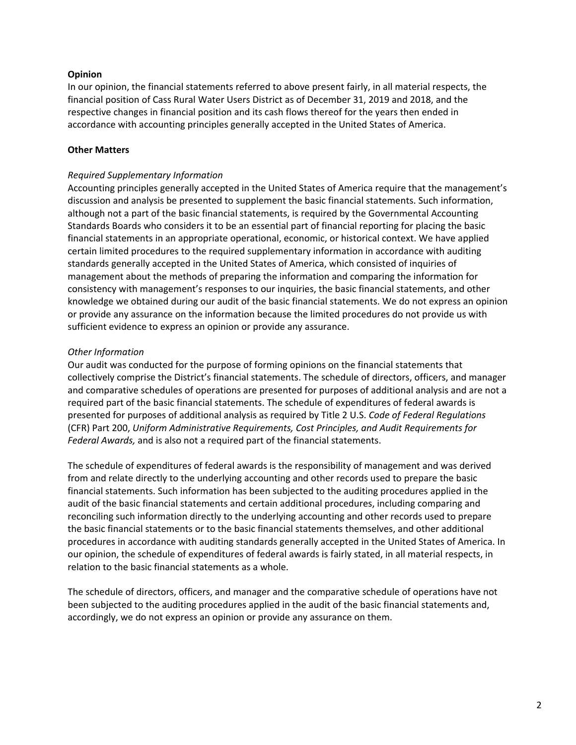## **Opinion**

In our opinion, the financial statements referred to above present fairly, in all material respects, the financial position of Cass Rural Water Users District as of December 31, 2019 and 2018, and the respective changes in financial position and its cash flows thereof for the years then ended in accordance with accounting principles generally accepted in the United States of America.

## **Other Matters**

#### *Required Supplementary Information*

Accounting principles generally accepted in the United States of America require that the management's discussion and analysis be presented to supplement the basic financial statements. Such information, although not a part of the basic financial statements, is required by the Governmental Accounting Standards Boards who considers it to be an essential part of financial reporting for placing the basic financial statements in an appropriate operational, economic, or historical context. We have applied certain limited procedures to the required supplementary information in accordance with auditing standards generally accepted in the United States of America, which consisted of inquiries of management about the methods of preparing the information and comparing the information for consistency with management's responses to our inquiries, the basic financial statements, and other knowledge we obtained during our audit of the basic financial statements. We do not express an opinion or provide any assurance on the information because the limited procedures do not provide us with sufficient evidence to express an opinion or provide any assurance.

#### *Other Information*

Our audit was conducted for the purpose of forming opinions on the financial statements that collectively comprise the District's financial statements. The schedule of directors, officers, and manager and comparative schedules of operations are presented for purposes of additional analysis and are not a required part of the basic financial statements. The schedule of expenditures of federal awards is presented for purposes of additional analysis as required by Title 2 U.S. *Code of Federal Regulations*  (CFR) Part 200, *Uniform Administrative Requirements, Cost Principles, and Audit Requirements for Federal Awards,* and is also not a required part of the financial statements.

The schedule of expenditures of federal awards is the responsibility of management and was derived from and relate directly to the underlying accounting and other records used to prepare the basic financial statements. Such information has been subjected to the auditing procedures applied in the audit of the basic financial statements and certain additional procedures, including comparing and reconciling such information directly to the underlying accounting and other records used to prepare the basic financial statements or to the basic financial statements themselves, and other additional procedures in accordance with auditing standards generally accepted in the United States of America. In our opinion, the schedule of expenditures of federal awards is fairly stated, in all material respects, in relation to the basic financial statements as a whole.

The schedule of directors, officers, and manager and the comparative schedule of operations have not been subjected to the auditing procedures applied in the audit of the basic financial statements and, accordingly, we do not express an opinion or provide any assurance on them.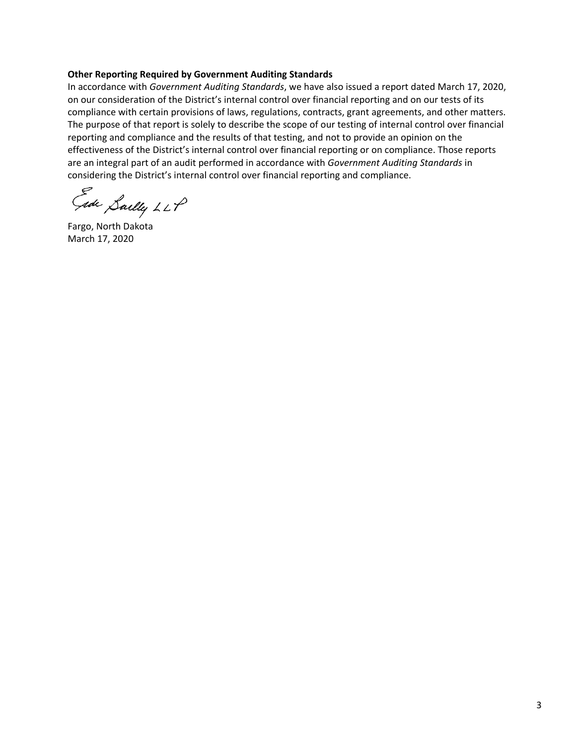#### **Other Reporting Required by Government Auditing Standards**

In accordance with *Government Auditing Standards*, we have also issued a report dated March 17, 2020, on our consideration of the District's internal control over financial reporting and on our tests of its compliance with certain provisions of laws, regulations, contracts, grant agreements, and other matters. The purpose of that report is solely to describe the scope of our testing of internal control over financial reporting and compliance and the results of that testing, and not to provide an opinion on the effectiveness of the District's internal control over financial reporting or on compliance. Those reports are an integral part of an audit performed in accordance with *Government Auditing Standards* in considering the District's internal control over financial reporting and compliance.

Gide Sailly LLP

Fargo, North Dakota March 17, 2020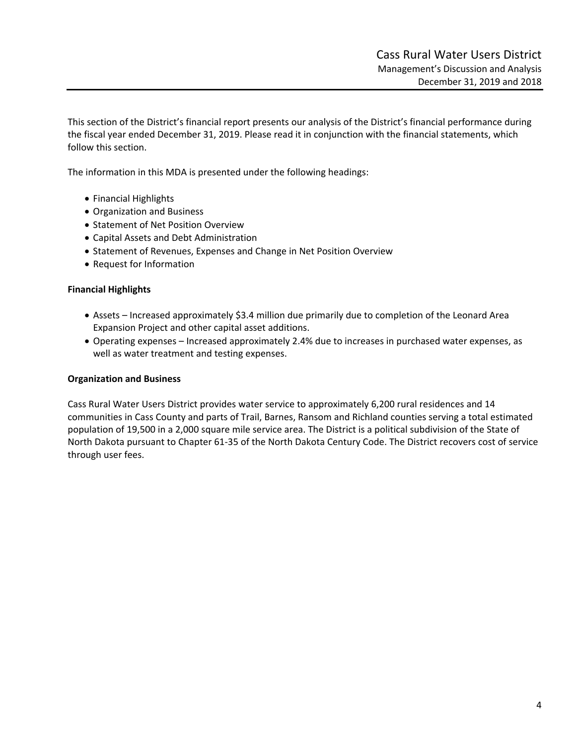This section of the District's financial report presents our analysis of the District's financial performance during the fiscal year ended December 31, 2019. Please read it in conjunction with the financial statements, which follow this section.

The information in this MDA is presented under the following headings:

- Financial Highlights
- Organization and Business
- Statement of Net Position Overview
- Capital Assets and Debt Administration
- Statement of Revenues, Expenses and Change in Net Position Overview
- Request for Information

## **Financial Highlights**

- Assets Increased approximately \$3.4 million due primarily due to completion of the Leonard Area Expansion Project and other capital asset additions.
- Operating expenses Increased approximately 2.4% due to increases in purchased water expenses, as well as water treatment and testing expenses.

#### **Organization and Business**

Cass Rural Water Users District provides water service to approximately 6,200 rural residences and 14 communities in Cass County and parts of Trail, Barnes, Ransom and Richland counties serving a total estimated population of 19,500 in a 2,000 square mile service area. The District is a political subdivision of the State of North Dakota pursuant to Chapter 61‐35 of the North Dakota Century Code. The District recovers cost of service through user fees.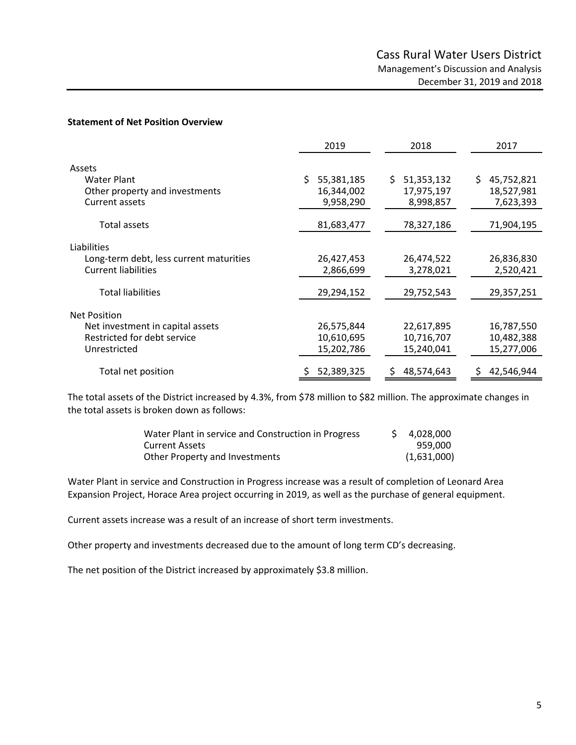## **Statement of Net Position Overview**

|                                         | 2019             | 2018             | 2017              |
|-----------------------------------------|------------------|------------------|-------------------|
| Assets                                  |                  |                  |                   |
| Water Plant                             | \$<br>55,381,185 | 51,353,132<br>S. | \$.<br>45,752,821 |
| Other property and investments          | 16,344,002       | 17,975,197       | 18,527,981        |
| Current assets                          | 9,958,290        | 8,998,857        | 7,623,393         |
| Total assets                            | 81,683,477       | 78,327,186       | 71,904,195        |
| Liabilities                             |                  |                  |                   |
| Long-term debt, less current maturities | 26,427,453       | 26,474,522       | 26,836,830        |
| <b>Current liabilities</b>              | 2,866,699        | 3,278,021        | 2,520,421         |
|                                         |                  |                  |                   |
| <b>Total liabilities</b>                | 29,294,152       | 29,752,543       | 29,357,251        |
| <b>Net Position</b>                     |                  |                  |                   |
| Net investment in capital assets        | 26,575,844       | 22,617,895       | 16,787,550        |
| Restricted for debt service             | 10,610,695       | 10,716,707       | 10,482,388        |
| Unrestricted                            | 15,202,786       | 15,240,041       | 15,277,006        |
| Total net position                      | 52,389,325       | 48,574,643<br>S  | 42,546,944        |

The total assets of the District increased by 4.3%, from \$78 million to \$82 million. The approximate changes in the total assets is broken down as follows:

| Water Plant in service and Construction in Progress | 4.028.000   |
|-----------------------------------------------------|-------------|
| <b>Current Assets</b>                               | 959.000     |
| Other Property and Investments                      | (1,631,000) |

Water Plant in service and Construction in Progress increase was a result of completion of Leonard Area Expansion Project, Horace Area project occurring in 2019, as well as the purchase of general equipment.

Current assets increase was a result of an increase of short term investments.

Other property and investments decreased due to the amount of long term CD's decreasing.

The net position of the District increased by approximately \$3.8 million.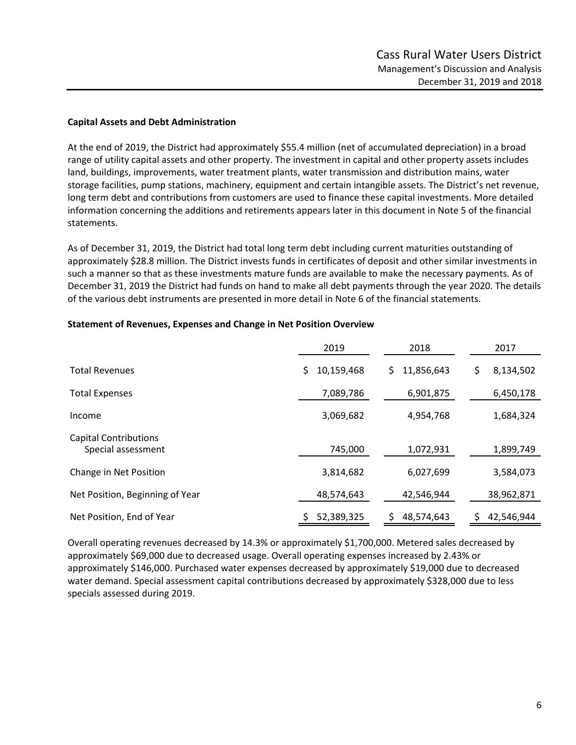## **Capital Assets and Debt Administration**

At the end of 2019, the District had approximately \$55.4 million (net of accumulated depreciation) in a broad range of utility capital assets and other property. The investment in capital and other property assets includes land, buildings, improvements, water treatment plants, water transmission and distribution mains, water storage facilities, pump stations, machinery, equipment and certain intangible assets. The District's net revenue, long term debt and contributions from customers are used to finance these capital investments. More detailed information concerning the additions and retirements appears later in this document in Note 5 of the financial statements.

As of December 31, 2019, the District had total long term debt including current maturities outstanding of approximately \$28.8 million. The District invests funds in certificates of deposit and other similar investments in such a manner so that as these investments mature funds are available to make the necessary payments. As of December 31, 2019 the District had funds on hand to make all debt payments through the year 2020. The details of the various debt instruments are presented in more detail in Note 6 of the financial statements.

|                                                    | 2019             | 2018             | 2017            |
|----------------------------------------------------|------------------|------------------|-----------------|
| <b>Total Revenues</b>                              | \$<br>10,159,468 | 11,856,643<br>S. | \$<br>8,134,502 |
| <b>Total Expenses</b>                              | 7,089,786        | 6,901,875        | 6,450,178       |
| Income                                             | 3,069,682        | 4,954,768        | 1,684,324       |
| <b>Capital Contributions</b><br>Special assessment | 745,000          | 1,072,931        | 1,899,749       |
| Change in Net Position                             | 3,814,682        | 6,027,699        | 3,584,073       |
| Net Position, Beginning of Year                    | 48,574,643       | 42,546,944       | 38,962,871      |
| Net Position, End of Year                          | 52,389,325       | 48,574,643       | 42,546,944      |

#### **Statement of Revenues, Expenses and Change in Net Position Overview**

Overall operating revenues decreased by 14.3% or approximately \$1,700,000. Metered sales decreased by approximately \$69,000 due to decreased usage. Overall operating expenses increased by 2.43% or approximately \$146,000. Purchased water expenses decreased by approximately \$19,000 due to decreased water demand. Special assessment capital contributions decreased by approximately \$328,000 due to less specials assessed during 2019.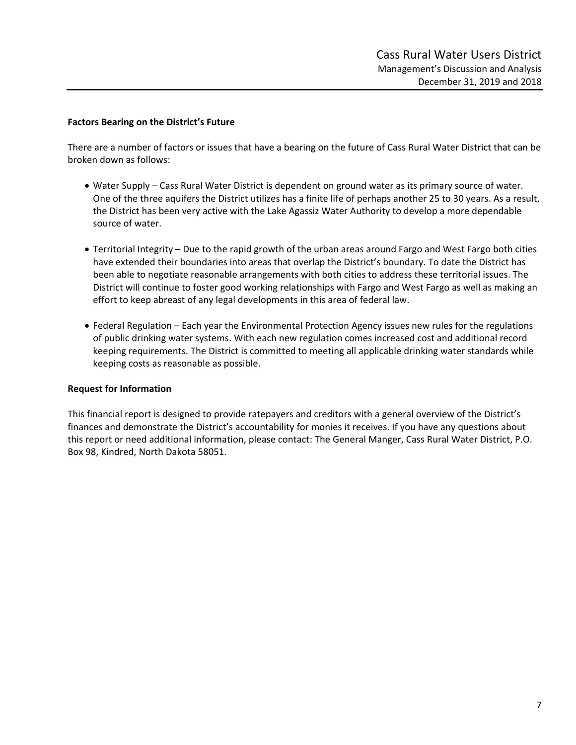### **Factors Bearing on the District's Future**

There are a number of factors or issues that have a bearing on the future of Cass Rural Water District that can be broken down as follows:

- Water Supply Cass Rural Water District is dependent on ground water as its primary source of water. One of the three aquifers the District utilizes has a finite life of perhaps another 25 to 30 years. As a result, the District has been very active with the Lake Agassiz Water Authority to develop a more dependable source of water.
- Territorial Integrity Due to the rapid growth of the urban areas around Fargo and West Fargo both cities have extended their boundaries into areas that overlap the District's boundary. To date the District has been able to negotiate reasonable arrangements with both cities to address these territorial issues. The District will continue to foster good working relationships with Fargo and West Fargo as well as making an effort to keep abreast of any legal developments in this area of federal law.
- Federal Regulation Each year the Environmental Protection Agency issues new rules for the regulations of public drinking water systems. With each new regulation comes increased cost and additional record keeping requirements. The District is committed to meeting all applicable drinking water standards while keeping costs as reasonable as possible.

## **Request for Information**

This financial report is designed to provide ratepayers and creditors with a general overview of the District's finances and demonstrate the District's accountability for monies it receives. If you have any questions about this report or need additional information, please contact: The General Manger, Cass Rural Water District, P.O. Box 98, Kindred, North Dakota 58051.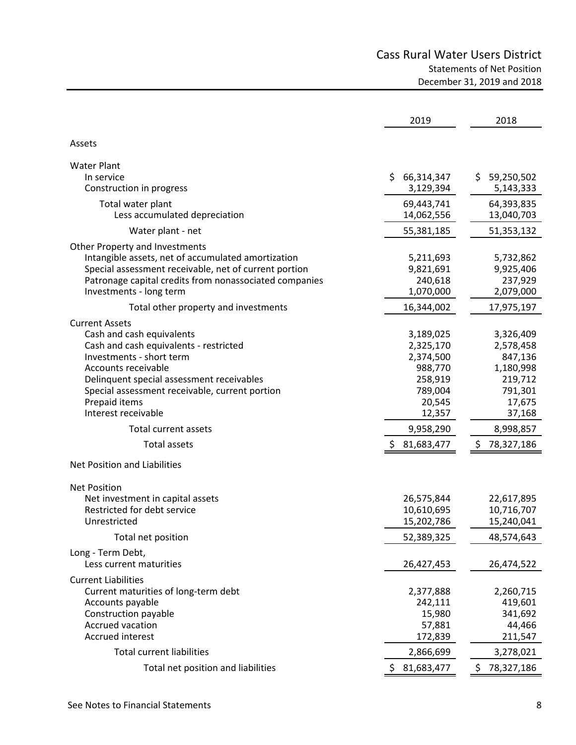# Cass Rural Water Users District Statements of Net Position December 31, 2019 and 2018

|                                                        | 2019                     | 2018                     |
|--------------------------------------------------------|--------------------------|--------------------------|
| Assets                                                 |                          |                          |
|                                                        |                          |                          |
| <b>Water Plant</b><br>In service                       | \$66,314,347             | \$59,250,502             |
| Construction in progress                               | 3,129,394                | 5,143,333                |
|                                                        |                          |                          |
| Total water plant<br>Less accumulated depreciation     | 69,443,741<br>14,062,556 | 64,393,835<br>13,040,703 |
|                                                        |                          |                          |
| Water plant - net                                      | 55,381,185               | 51,353,132               |
| Other Property and Investments                         |                          |                          |
| Intangible assets, net of accumulated amortization     | 5,211,693                | 5,732,862                |
| Special assessment receivable, net of current portion  | 9,821,691                | 9,925,406                |
| Patronage capital credits from nonassociated companies | 240,618                  | 237,929                  |
| Investments - long term                                | 1,070,000                | 2,079,000                |
| Total other property and investments                   | 16,344,002               | 17,975,197               |
| <b>Current Assets</b>                                  |                          |                          |
| Cash and cash equivalents                              | 3,189,025                | 3,326,409                |
| Cash and cash equivalents - restricted                 | 2,325,170                | 2,578,458                |
| Investments - short term                               | 2,374,500                | 847,136                  |
| Accounts receivable                                    | 988,770                  | 1,180,998                |
| Delinquent special assessment receivables              | 258,919                  | 219,712                  |
| Special assessment receivable, current portion         | 789,004                  | 791,301                  |
| Prepaid items                                          | 20,545                   | 17,675                   |
| Interest receivable                                    | 12,357                   | 37,168                   |
| Total current assets                                   | 9,958,290                | 8,998,857                |
| Total assets                                           | 81,683,477               | 78,327,186<br>S.         |
| Net Position and Liabilities                           |                          |                          |
| <b>Net Position</b>                                    |                          |                          |
| Net investment in capital assets                       | 26,575,844               | 22,617,895               |
| Restricted for debt service                            | 10,610,695               | 10,716,707               |
| Unrestricted                                           | 15,202,786               | 15,240,041               |
| Total net position                                     | 52,389,325               | 48,574,643               |
| Long - Term Debt,                                      |                          |                          |
| Less current maturities                                | 26,427,453               | 26,474,522               |
| <b>Current Liabilities</b>                             |                          |                          |
| Current maturities of long-term debt                   | 2,377,888                | 2,260,715                |
| Accounts payable                                       | 242,111                  | 419,601                  |
| Construction payable                                   | 15,980                   | 341,692                  |
| Accrued vacation                                       | 57,881                   | 44,466                   |
| <b>Accrued interest</b>                                | 172,839                  | 211,547                  |
| <b>Total current liabilities</b>                       | 2,866,699                | 3,278,021                |
| Total net position and liabilities                     | \$31,683,477             | \$78,327,186             |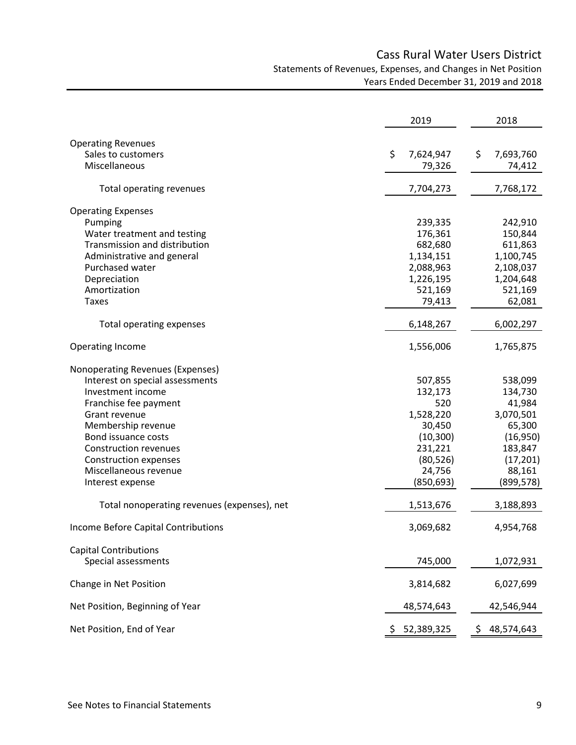# Cass Rural Water Users District Statements of Revenues, Expenses, and Changes in Net Position Years Ended December 31, 2019 and 2018

|                                             | 2019             | 2018             |
|---------------------------------------------|------------------|------------------|
| <b>Operating Revenues</b>                   |                  |                  |
| Sales to customers                          | \$<br>7,624,947  | \$<br>7,693,760  |
| Miscellaneous                               | 79,326           | 74,412           |
| Total operating revenues                    | 7,704,273        | 7,768,172        |
| <b>Operating Expenses</b>                   |                  |                  |
| Pumping                                     | 239,335          | 242,910          |
| Water treatment and testing                 | 176,361          | 150,844          |
| Transmission and distribution               | 682,680          | 611,863          |
| Administrative and general                  | 1,134,151        | 1,100,745        |
| Purchased water                             | 2,088,963        | 2,108,037        |
| Depreciation                                | 1,226,195        | 1,204,648        |
| Amortization                                | 521,169          | 521,169          |
| <b>Taxes</b>                                | 79,413           | 62,081           |
| <b>Total operating expenses</b>             | 6,148,267        | 6,002,297        |
| Operating Income                            | 1,556,006        | 1,765,875        |
| Nonoperating Revenues (Expenses)            |                  |                  |
| Interest on special assessments             | 507,855          | 538,099          |
| Investment income                           | 132,173          | 134,730          |
| Franchise fee payment                       | 520              | 41,984           |
| Grant revenue                               | 1,528,220        | 3,070,501        |
|                                             |                  |                  |
| Membership revenue                          | 30,450           | 65,300           |
| Bond issuance costs                         | (10, 300)        | (16,950)         |
| <b>Construction revenues</b>                | 231,221          | 183,847          |
| <b>Construction expenses</b>                | (80, 526)        | (17, 201)        |
| Miscellaneous revenue                       | 24,756           | 88,161           |
| Interest expense                            | (850, 693)       | (899, 578)       |
| Total nonoperating revenues (expenses), net | 1,513,676        | 3,188,893        |
| Income Before Capital Contributions         | 3,069,682        | 4,954,768        |
| <b>Capital Contributions</b>                |                  |                  |
| Special assessments                         | 745,000          | 1,072,931        |
| Change in Net Position                      | 3,814,682        | 6,027,699        |
| Net Position, Beginning of Year             | 48,574,643       | 42,546,944       |
| Net Position, End of Year                   | 52,389,325<br>Ş. | 48,574,643<br>\$ |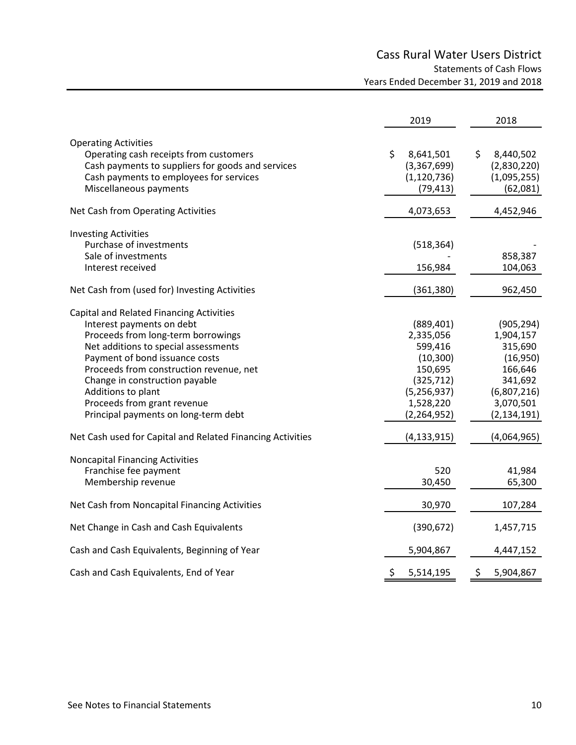# Cass Rural Water Users District Statements of Cash Flows Years Ended December 31, 2019 and 2018

|                                                                                                                                                                                                                                                                                                                                                                 | 2019                                                                                                                    | 2018                                                                                                              |
|-----------------------------------------------------------------------------------------------------------------------------------------------------------------------------------------------------------------------------------------------------------------------------------------------------------------------------------------------------------------|-------------------------------------------------------------------------------------------------------------------------|-------------------------------------------------------------------------------------------------------------------|
| <b>Operating Activities</b><br>Operating cash receipts from customers<br>Cash payments to suppliers for goods and services<br>Cash payments to employees for services<br>Miscellaneous payments                                                                                                                                                                 | \$<br>8,641,501<br>(3,367,699)<br>(1, 120, 736)<br>(79, 413)                                                            | \$<br>8,440,502<br>(2,830,220)<br>(1,095,255)<br>(62,081)                                                         |
| Net Cash from Operating Activities                                                                                                                                                                                                                                                                                                                              | 4,073,653                                                                                                               | 4,452,946                                                                                                         |
| <b>Investing Activities</b><br>Purchase of investments<br>Sale of investments<br>Interest received                                                                                                                                                                                                                                                              | (518, 364)<br>156,984                                                                                                   | 858,387<br>104,063                                                                                                |
| Net Cash from (used for) Investing Activities                                                                                                                                                                                                                                                                                                                   | (361, 380)                                                                                                              | 962,450                                                                                                           |
| Capital and Related Financing Activities<br>Interest payments on debt<br>Proceeds from long-term borrowings<br>Net additions to special assessments<br>Payment of bond issuance costs<br>Proceeds from construction revenue, net<br>Change in construction payable<br>Additions to plant<br>Proceeds from grant revenue<br>Principal payments on long-term debt | (889, 401)<br>2,335,056<br>599,416<br>(10, 300)<br>150,695<br>(325, 712)<br>(5, 256, 937)<br>1,528,220<br>(2, 264, 952) | (905, 294)<br>1,904,157<br>315,690<br>(16,950)<br>166,646<br>341,692<br>(6,807,216)<br>3,070,501<br>(2, 134, 191) |
| Net Cash used for Capital and Related Financing Activities                                                                                                                                                                                                                                                                                                      | (4, 133, 915)                                                                                                           | (4,064,965)                                                                                                       |
| <b>Noncapital Financing Activities</b><br>Franchise fee payment<br>Membership revenue                                                                                                                                                                                                                                                                           | 520<br>30,450                                                                                                           | 41,984<br>65,300                                                                                                  |
| Net Cash from Noncapital Financing Activities                                                                                                                                                                                                                                                                                                                   | 30,970                                                                                                                  | 107,284                                                                                                           |
| Net Change in Cash and Cash Equivalents                                                                                                                                                                                                                                                                                                                         | (390, 672)                                                                                                              | 1,457,715                                                                                                         |
| Cash and Cash Equivalents, Beginning of Year                                                                                                                                                                                                                                                                                                                    | 5,904,867                                                                                                               | 4,447,152                                                                                                         |
| Cash and Cash Equivalents, End of Year                                                                                                                                                                                                                                                                                                                          | \$<br>5,514,195                                                                                                         | \$<br>5,904,867                                                                                                   |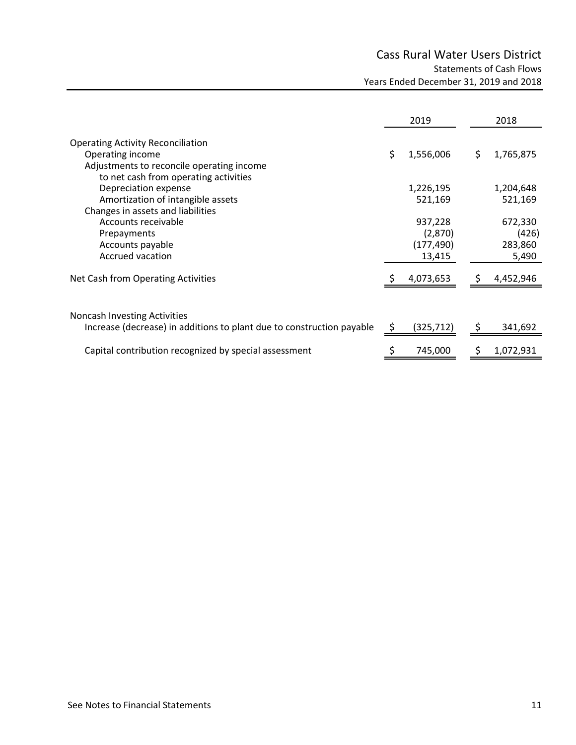# Cass Rural Water Users District Statements of Cash Flows Years Ended December 31, 2019 and 2018

|                                                                                                                                                    | 2019                                       | 2018                                 |
|----------------------------------------------------------------------------------------------------------------------------------------------------|--------------------------------------------|--------------------------------------|
| <b>Operating Activity Reconciliation</b><br>Operating income<br>Adjustments to reconcile operating income<br>to net cash from operating activities | \$<br>1,556,006                            | \$<br>1,765,875                      |
| Depreciation expense<br>Amortization of intangible assets<br>Changes in assets and liabilities                                                     | 1,226,195<br>521,169                       | 1,204,648<br>521,169                 |
| Accounts receivable<br>Prepayments<br>Accounts payable<br>Accrued vacation                                                                         | 937,228<br>(2,870)<br>(177, 490)<br>13,415 | 672,330<br>(426)<br>283,860<br>5,490 |
| Net Cash from Operating Activities                                                                                                                 | 4,073,653                                  | 4,452,946                            |
| <b>Noncash Investing Activities</b><br>Increase (decrease) in additions to plant due to construction payable                                       | (325,712)                                  | 341,692                              |
| Capital contribution recognized by special assessment                                                                                              | 745,000                                    | \$<br>1,072,931                      |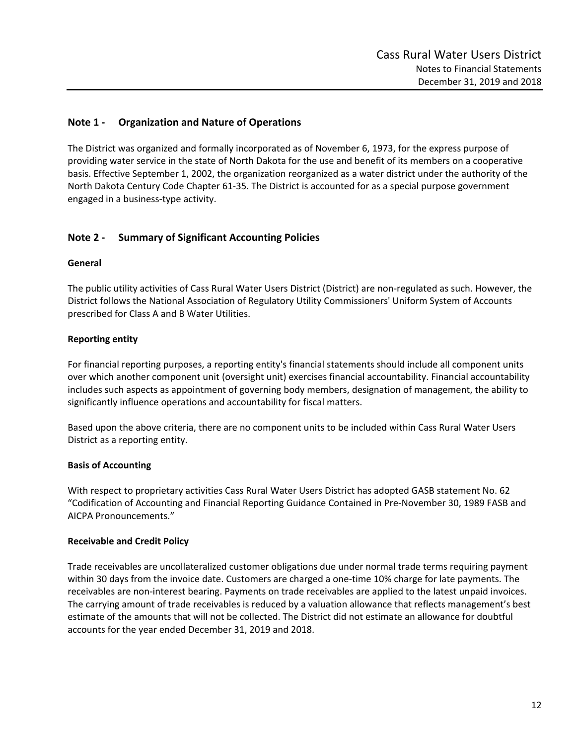# **Note 1 ‐ Organization and Nature of Operations**

The District was organized and formally incorporated as of November 6, 1973, for the express purpose of providing water service in the state of North Dakota for the use and benefit of its members on a cooperative basis. Effective September 1, 2002, the organization reorganized as a water district under the authority of the North Dakota Century Code Chapter 61‐35. The District is accounted for as a special purpose government engaged in a business‐type activity.

# **Note 2 ‐ Summary of Significant Accounting Policies**

## **General**

The public utility activities of Cass Rural Water Users District (District) are non‐regulated as such. However, the District follows the National Association of Regulatory Utility Commissioners' Uniform System of Accounts prescribed for Class A and B Water Utilities.

# **Reporting entity**

For financial reporting purposes, a reporting entity's financial statements should include all component units over which another component unit (oversight unit) exercises financial accountability. Financial accountability includes such aspects as appointment of governing body members, designation of management, the ability to significantly influence operations and accountability for fiscal matters.

Based upon the above criteria, there are no component units to be included within Cass Rural Water Users District as a reporting entity.

## **Basis of Accounting**

With respect to proprietary activities Cass Rural Water Users District has adopted GASB statement No. 62 "Codification of Accounting and Financial Reporting Guidance Contained in Pre‐November 30, 1989 FASB and AICPA Pronouncements."

# **Receivable and Credit Policy**

Trade receivables are uncollateralized customer obligations due under normal trade terms requiring payment within 30 days from the invoice date. Customers are charged a one-time 10% charge for late payments. The receivables are non‐interest bearing. Payments on trade receivables are applied to the latest unpaid invoices. The carrying amount of trade receivables is reduced by a valuation allowance that reflects management's best estimate of the amounts that will not be collected. The District did not estimate an allowance for doubtful accounts for the year ended December 31, 2019 and 2018.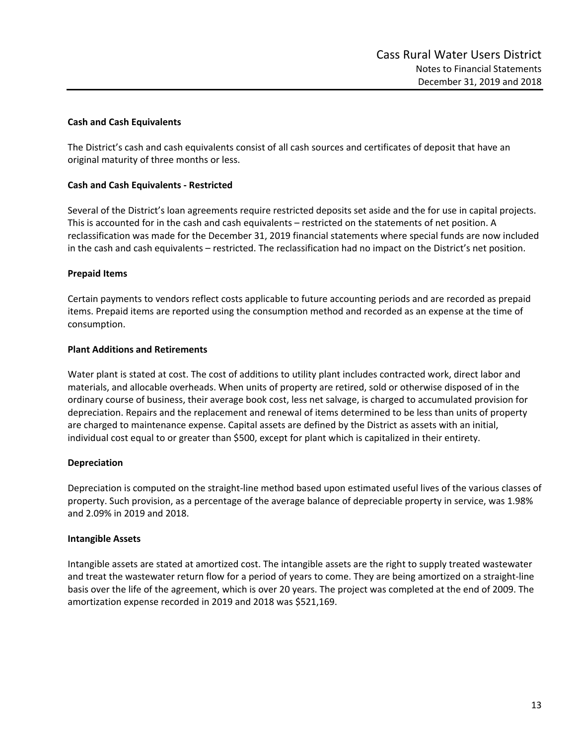## **Cash and Cash Equivalents**

The District's cash and cash equivalents consist of all cash sources and certificates of deposit that have an original maturity of three months or less.

## **Cash and Cash Equivalents ‐ Restricted**

Several of the District's loan agreements require restricted deposits set aside and the for use in capital projects. This is accounted for in the cash and cash equivalents – restricted on the statements of net position. A reclassification was made for the December 31, 2019 financial statements where special funds are now included in the cash and cash equivalents – restricted. The reclassification had no impact on the District's net position.

## **Prepaid Items**

Certain payments to vendors reflect costs applicable to future accounting periods and are recorded as prepaid items. Prepaid items are reported using the consumption method and recorded as an expense at the time of consumption.

## **Plant Additions and Retirements**

Water plant is stated at cost. The cost of additions to utility plant includes contracted work, direct labor and materials, and allocable overheads. When units of property are retired, sold or otherwise disposed of in the ordinary course of business, their average book cost, less net salvage, is charged to accumulated provision for depreciation. Repairs and the replacement and renewal of items determined to be less than units of property are charged to maintenance expense. Capital assets are defined by the District as assets with an initial, individual cost equal to or greater than \$500, except for plant which is capitalized in their entirety.

## **Depreciation**

Depreciation is computed on the straight‐line method based upon estimated useful lives of the various classes of property. Such provision, as a percentage of the average balance of depreciable property in service, was 1.98% and 2.09% in 2019 and 2018.

## **Intangible Assets**

Intangible assets are stated at amortized cost. The intangible assets are the right to supply treated wastewater and treat the wastewater return flow for a period of years to come. They are being amortized on a straight‐line basis over the life of the agreement, which is over 20 years. The project was completed at the end of 2009. The amortization expense recorded in 2019 and 2018 was \$521,169.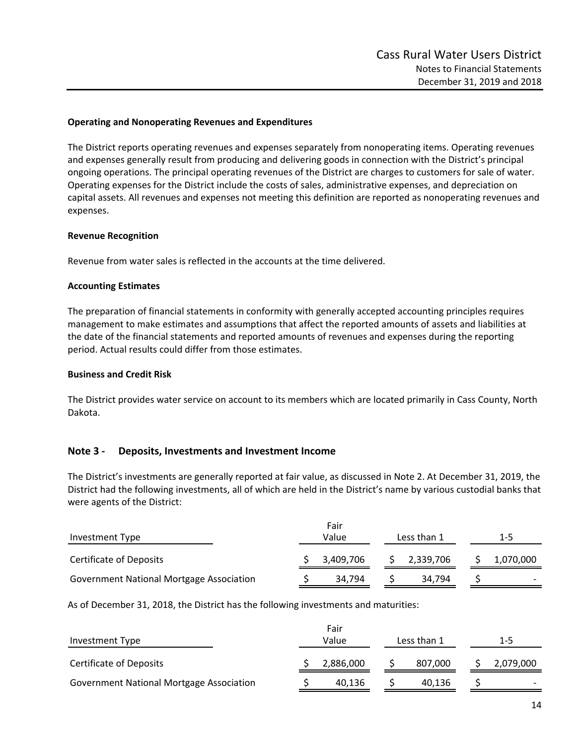## **Operating and Nonoperating Revenues and Expenditures**

The District reports operating revenues and expenses separately from nonoperating items. Operating revenues and expenses generally result from producing and delivering goods in connection with the District's principal ongoing operations. The principal operating revenues of the District are charges to customers for sale of water. Operating expenses for the District include the costs of sales, administrative expenses, and depreciation on capital assets. All revenues and expenses not meeting this definition are reported as nonoperating revenues and expenses.

#### **Revenue Recognition**

Revenue from water sales is reflected in the accounts at the time delivered.

#### **Accounting Estimates**

The preparation of financial statements in conformity with generally accepted accounting principles requires management to make estimates and assumptions that affect the reported amounts of assets and liabilities at the date of the financial statements and reported amounts of revenues and expenses during the reporting period. Actual results could differ from those estimates.

#### **Business and Credit Risk**

The District provides water service on account to its members which are located primarily in Cass County, North Dakota.

## **Note 3 ‐ Deposits, Investments and Investment Income**

The District's investments are generally reported at fair value, as discussed in Note 2. At December 31, 2019, the District had the following investments, all of which are held in the District's name by various custodial banks that were agents of the District:

| Investment Type                                 | Fair<br>Value |           |  | Less than 1 |  | $1-5$                    |
|-------------------------------------------------|---------------|-----------|--|-------------|--|--------------------------|
| <b>Certificate of Deposits</b>                  |               | 3,409,706 |  | 2,339,706   |  | 1,070,000                |
| <b>Government National Mortgage Association</b> |               | 34.794    |  | 34.794      |  | $\overline{\phantom{0}}$ |

As of December 31, 2018, the District has the following investments and maturities:

| Investment Type                                 | Fair<br>Value | Less than 1 | $1 - 5$   |
|-------------------------------------------------|---------------|-------------|-----------|
| Certificate of Deposits                         | 2,886,000     | 807,000     | 2,079,000 |
| <b>Government National Mortgage Association</b> | 40,136        | 40,136      |           |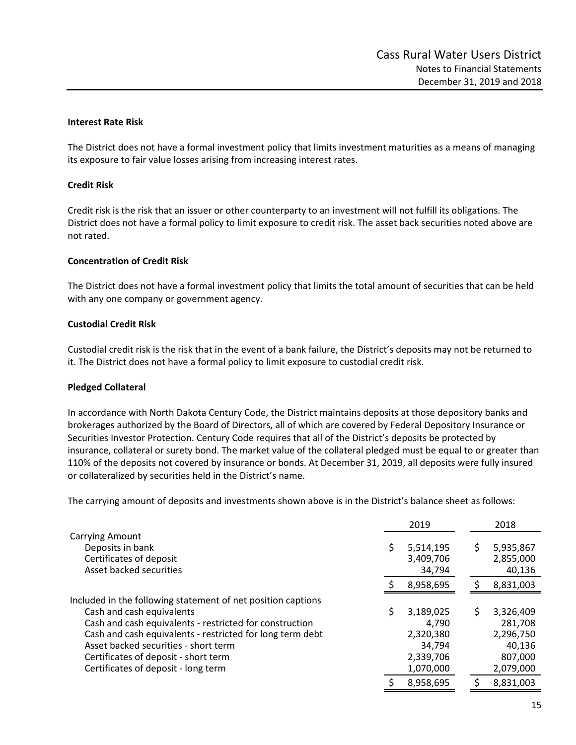#### **Interest Rate Risk**

The District does not have a formal investment policy that limits investment maturities as a means of managing its exposure to fair value losses arising from increasing interest rates.

### **Credit Risk**

Credit risk is the risk that an issuer or other counterparty to an investment will not fulfill its obligations. The District does not have a formal policy to limit exposure to credit risk. The asset back securities noted above are not rated.

## **Concentration of Credit Risk**

The District does not have a formal investment policy that limits the total amount of securities that can be held with any one company or government agency.

### **Custodial Credit Risk**

Custodial credit risk is the risk that in the event of a bank failure, the District's deposits may not be returned to it. The District does not have a formal policy to limit exposure to custodial credit risk.

#### **Pledged Collateral**

In accordance with North Dakota Century Code, the District maintains deposits at those depository banks and brokerages authorized by the Board of Directors, all of which are covered by Federal Depository Insurance or Securities Investor Protection. Century Code requires that all of the District's deposits be protected by insurance, collateral or surety bond. The market value of the collateral pledged must be equal to or greater than 110% of the deposits not covered by insurance or bonds. At December 31, 2019, all deposits were fully insured or collateralized by securities held in the District's name.

The carrying amount of deposits and investments shown above is in the District's balance sheet as follows:

|                                                              |    | 2019      |    | 2018      |
|--------------------------------------------------------------|----|-----------|----|-----------|
| <b>Carrying Amount</b>                                       |    |           |    |           |
| Deposits in bank                                             | S. | 5,514,195 | S  | 5,935,867 |
| Certificates of deposit                                      |    | 3,409,706 |    | 2,855,000 |
| Asset backed securities                                      |    | 34,794    |    | 40,136    |
|                                                              |    | 8,958,695 |    | 8,831,003 |
| Included in the following statement of net position captions |    |           |    |           |
| Cash and cash equivalents                                    |    | 3,189,025 | Ŝ. | 3,326,409 |
| Cash and cash equivalents - restricted for construction      |    | 4,790     |    | 281,708   |
| Cash and cash equivalents - restricted for long term debt    |    | 2,320,380 |    | 2,296,750 |
| Asset backed securities - short term                         |    | 34,794    |    | 40,136    |
| Certificates of deposit - short term                         |    | 2,339,706 |    | 807,000   |
| Certificates of deposit - long term                          |    | 1,070,000 |    | 2,079,000 |
|                                                              |    | 8,958,695 |    | 8,831,003 |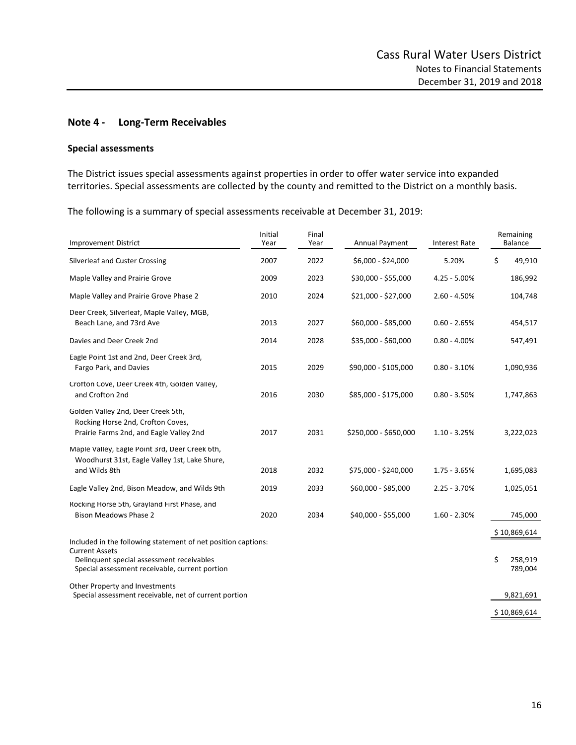#### **Note 4 ‐ Long‐Term Receivables**

#### **Special assessments**

The District issues special assessments against properties in order to offer water service into expanded territories. Special assessments are collected by the county and remitted to the District on a monthly basis.

The following is a summary of special assessments receivable at December 31, 2019:

| <b>Improvement District</b>                                                                                                                                                           | Initial<br>Year | Final<br>Year | Annual Payment        | <b>Interest Rate</b> | Remaining<br>Balance     |
|---------------------------------------------------------------------------------------------------------------------------------------------------------------------------------------|-----------------|---------------|-----------------------|----------------------|--------------------------|
| Silverleaf and Custer Crossing                                                                                                                                                        | 2007            | 2022          | \$6,000 - \$24,000    | 5.20%                | \$<br>49,910             |
| Maple Valley and Prairie Grove                                                                                                                                                        | 2009            | 2023          | \$30,000 - \$55,000   | $4.25 - 5.00\%$      | 186,992                  |
| Maple Valley and Prairie Grove Phase 2                                                                                                                                                | 2010            | 2024          | \$21,000 - \$27,000   | $2.60 - 4.50%$       | 104,748                  |
| Deer Creek, Silverleat, Maple Valley, MGB,<br>Beach Lane, and 73rd Ave                                                                                                                | 2013            | 2027          | \$60,000 - \$85,000   | $0.60 - 2.65%$       | 454,517                  |
| Davies and Deer Creek 2nd                                                                                                                                                             | 2014            | 2028          | \$35,000 - \$60,000   | $0.80 - 4.00\%$      | 547,491                  |
| Eagle Point 1st and 2nd, Deer Creek 3rd,<br>Fargo Park, and Davies                                                                                                                    | 2015            | 2029          | \$90,000 - \$105,000  | $0.80 - 3.10%$       | 1,090,936                |
| Crotton Cove, Deer Creek 4th, Golden Valley,<br>and Crofton 2nd                                                                                                                       | 2016            | 2030          | \$85,000 - \$175,000  | $0.80 - 3.50%$       | 1,747,863                |
| Golden Valley 2nd, Deer Creek 5th,<br>Rocking Horse 2nd, Crofton Coves,<br>Prairie Farms 2nd, and Eagle Valley 2nd                                                                    | 2017            | 2031          | \$250,000 - \$650,000 | $1.10 - 3.25%$       | 3,222,023                |
| Maple Valley, Eagle Point 3rd, Deer Creek 6th,<br>Woodhurst 31st, Eagle Valley 1st, Lake Shure,<br>and Wilds 8th                                                                      | 2018            | 2032          | \$75,000 - \$240,000  | $1.75 - 3.65%$       | 1,695,083                |
| Eagle Valley 2nd, Bison Meadow, and Wilds 9th                                                                                                                                         | 2019            | 2033          | \$60,000 - \$85,000   | $2.25 - 3.70%$       | 1,025,051                |
| Rocking Horse 5th, Grayland First Phase, and<br><b>Bison Meadows Phase 2</b>                                                                                                          | 2020            | 2034          | \$40,000 - \$55,000   | $1.60 - 2.30%$       | 745,000                  |
|                                                                                                                                                                                       |                 |               |                       |                      | \$10,869,614             |
| Included in the following statement of net position captions:<br><b>Current Assets</b><br>Delinquent special assessment receivables<br>Special assessment receivable, current portion |                 |               |                       |                      | \$<br>258.919<br>789,004 |
| Other Property and Investments<br>Special assessment receivable, net of current portion                                                                                               |                 |               |                       |                      | 9,821,691                |
|                                                                                                                                                                                       |                 |               |                       |                      | \$10,869,614             |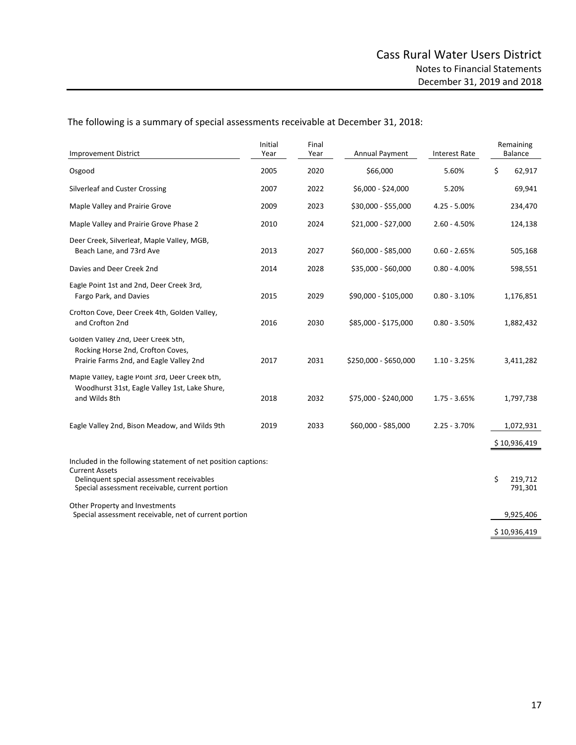The following is a summary of special assessments receivable at December 31, 2018:

| <b>Improvement District</b>                                                                                                                                                           | Initial<br>Year | Final<br>Year | Annual Payment        | <b>Interest Rate</b> | Remaining<br>Balance     |
|---------------------------------------------------------------------------------------------------------------------------------------------------------------------------------------|-----------------|---------------|-----------------------|----------------------|--------------------------|
| Osgood                                                                                                                                                                                | 2005            | 2020          | \$66,000              | 5.60%                | \$<br>62,917             |
| Silverleaf and Custer Crossing                                                                                                                                                        | 2007            | 2022          | \$6,000 - \$24,000    | 5.20%                | 69,941                   |
| Maple Valley and Prairie Grove                                                                                                                                                        | 2009            | 2023          | \$30,000 - \$55,000   | $4.25 - 5.00\%$      | 234,470                  |
| Maple Valley and Prairie Grove Phase 2                                                                                                                                                | 2010            | 2024          | \$21,000 - \$27,000   | $2.60 - 4.50%$       | 124,138                  |
| Deer Creek, Silverleat, Maple Valley, MGB,<br>Beach Lane, and 73rd Ave                                                                                                                | 2013            | 2027          | \$60,000 - \$85,000   | $0.60 - 2.65%$       | 505,168                  |
| Davies and Deer Creek 2nd                                                                                                                                                             | 2014            | 2028          | \$35,000 - \$60,000   | $0.80 - 4.00\%$      | 598,551                  |
| Eagle Point 1st and 2nd, Deer Creek 3rd,<br>Fargo Park, and Davies                                                                                                                    | 2015            | 2029          | \$90,000 - \$105,000  | $0.80 - 3.10%$       | 1,176,851                |
| Crotton Cove, Deer Creek 4th, Golden Valley,<br>and Crofton 2nd                                                                                                                       | 2016            | 2030          | \$85,000 - \$175,000  | $0.80 - 3.50%$       | 1,882,432                |
| Golden Valley 2nd, Deer Creek 5th,<br>Rocking Horse 2nd, Crofton Coves,<br>Prairie Farms 2nd, and Eagle Valley 2nd                                                                    | 2017            | 2031          | \$250,000 - \$650,000 | $1.10 - 3.25%$       | 3,411,282                |
| Maple Valley, Eagle Point 3rd, Deer Creek 6th,<br>Woodhurst 31st, Eagle Valley 1st, Lake Shure,<br>and Wilds 8th                                                                      | 2018            | 2032          | \$75,000 - \$240,000  | $1.75 - 3.65%$       | 1,797,738                |
| Eagle Valley 2nd, Bison Meadow, and Wilds 9th                                                                                                                                         | 2019            | 2033          | \$60,000 - \$85,000   | $2.25 - 3.70%$       | 1,072,931                |
|                                                                                                                                                                                       |                 |               |                       |                      | \$10,936,419             |
| Included in the following statement of net position captions:<br><b>Current Assets</b><br>Delinquent special assessment receivables<br>Special assessment receivable, current portion |                 |               |                       |                      | \$<br>219,712<br>791,301 |
| Other Property and Investments<br>Special assessment receivable, net of current portion                                                                                               |                 |               |                       |                      | 9,925,406                |
|                                                                                                                                                                                       |                 |               |                       |                      | \$10,936,419             |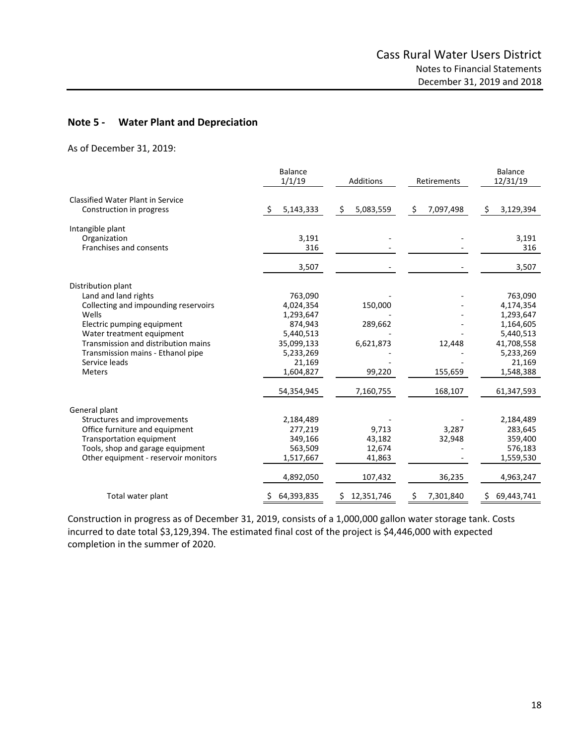## **Note 5 ‐ Water Plant and Depreciation**

#### As of December 31, 2019:

|                                                                      | <b>Balance</b><br>1/1/19 | Additions         | Retirements                | <b>Balance</b><br>12/31/19 |
|----------------------------------------------------------------------|--------------------------|-------------------|----------------------------|----------------------------|
| <b>Classified Water Plant in Service</b><br>Construction in progress | 5,143,333<br>Ŝ.          | \$<br>5,083,559   | $\ddot{\phi}$<br>7,097,498 | \$<br>3,129,394            |
| Intangible plant                                                     |                          |                   |                            |                            |
| Organization                                                         | 3,191                    |                   |                            | 3,191                      |
| Franchises and consents                                              | 316                      |                   |                            | 316                        |
|                                                                      | 3,507                    |                   |                            | 3,507                      |
| Distribution plant                                                   |                          |                   |                            |                            |
| Land and land rights                                                 | 763,090                  |                   |                            | 763,090                    |
| Collecting and impounding reservoirs                                 | 4,024,354                | 150,000           |                            | 4,174,354                  |
| Wells                                                                | 1,293,647                |                   |                            | 1,293,647                  |
| Electric pumping equipment                                           | 874,943                  | 289,662           |                            | 1,164,605                  |
| Water treatment equipment                                            | 5,440,513                |                   |                            | 5,440,513                  |
| Transmission and distribution mains                                  | 35,099,133               | 6,621,873         | 12,448                     | 41,708,558                 |
| Transmission mains - Ethanol pipe                                    | 5,233,269                |                   |                            | 5,233,269                  |
| Service leads                                                        | 21,169                   |                   |                            | 21,169                     |
| <b>Meters</b>                                                        | 1,604,827                | 99,220            | 155,659                    | 1,548,388                  |
|                                                                      | 54,354,945               | 7,160,755         | 168,107                    | 61,347,593                 |
| General plant                                                        |                          |                   |                            |                            |
| Structures and improvements                                          | 2,184,489                |                   |                            | 2,184,489                  |
| Office furniture and equipment                                       | 277,219                  | 9,713             | 3,287                      | 283,645                    |
| Transportation equipment                                             | 349,166                  | 43,182            | 32,948                     | 359,400                    |
| Tools, shop and garage equipment                                     | 563,509                  | 12,674            |                            | 576,183                    |
| Other equipment - reservoir monitors                                 | 1,517,667                | 41,863            |                            | 1,559,530                  |
|                                                                      | 4,892,050                | 107,432           | 36,235                     | 4,963,247                  |
| Total water plant                                                    | 64,393,835               | 12,351,746<br>\$. | \$.<br>7,301,840           | 69,443,741<br>\$           |

Construction in progress as of December 31, 2019, consists of a 1,000,000 gallon water storage tank. Costs incurred to date total \$3,129,394. The estimated final cost of the project is \$4,446,000 with expected completion in the summer of 2020.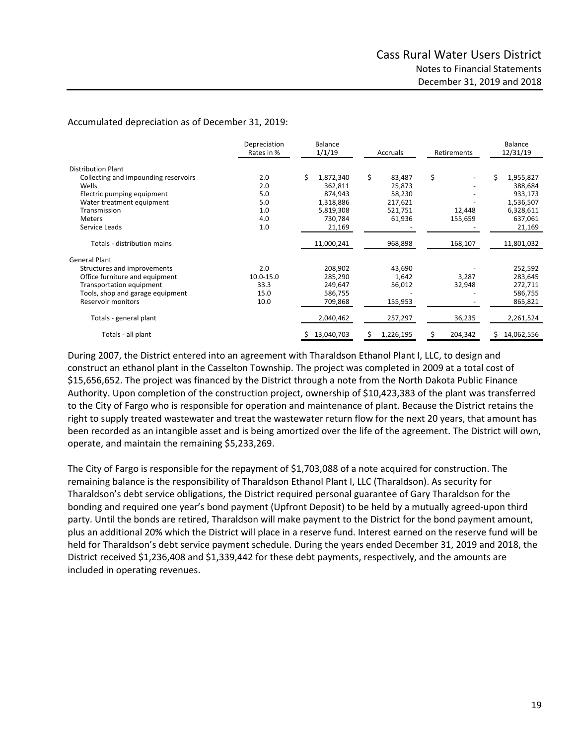Accumulated depreciation as of December 31, 2019:

|                                      | Depreciation<br>Rates in % | Balance<br>1/1/19 | Accruals       | Retirements   | Balance<br>12/31/19 |  |
|--------------------------------------|----------------------------|-------------------|----------------|---------------|---------------------|--|
| <b>Distribution Plant</b>            |                            |                   |                |               |                     |  |
| Collecting and impounding reservoirs | 2.0                        | \$<br>1,872,340   | Ś<br>83,487    | \$            | Ś<br>1,955,827      |  |
| Wells                                | 2.0                        | 362,811           | 25,873         |               | 388,684             |  |
| Electric pumping equipment           | 5.0                        | 874,943           | 58,230         |               | 933,173             |  |
| Water treatment equipment            | 5.0                        | 1,318,886         | 217,621        |               | 1,536,507           |  |
| Transmission                         | 1.0                        | 5,819,308         | 521,751        | 12,448        | 6,328,611           |  |
| Meters                               | 4.0                        | 730,784           | 61,936         | 155,659       | 637,061             |  |
| Service Leads                        | 1.0                        | 21,169            |                |               | 21,169              |  |
| Totals - distribution mains          |                            | 11,000,241        | 968,898        | 168,107       | 11,801,032          |  |
| <b>General Plant</b>                 |                            |                   |                |               |                     |  |
| Structures and improvements          | 2.0                        | 208,902           | 43,690         |               | 252,592             |  |
| Office furniture and equipment       | 10.0-15.0                  | 285,290           | 1,642          | 3,287         | 283,645             |  |
| Transportation equipment             | 33.3                       | 249,647           | 56,012         | 32,948        | 272,711             |  |
| Tools, shop and garage equipment     | 15.0                       | 586,755           |                |               | 586,755             |  |
| <b>Reservoir monitors</b>            | 10.0                       | 709,868           | 155,953        |               | 865,821             |  |
| Totals - general plant               |                            | 2,040,462         | 257,297        | 36,235        | 2,261,524           |  |
| Totals - all plant                   |                            | \$<br>13,040,703  | 1,226,195<br>Ś | 204,342<br>Ś. | 14,062,556<br>Ś.    |  |

During 2007, the District entered into an agreement with Tharaldson Ethanol Plant I, LLC, to design and construct an ethanol plant in the Casselton Township. The project was completed in 2009 at a total cost of \$15,656,652. The project was financed by the District through a note from the North Dakota Public Finance Authority. Upon completion of the construction project, ownership of \$10,423,383 of the plant was transferred to the City of Fargo who is responsible for operation and maintenance of plant. Because the District retains the right to supply treated wastewater and treat the wastewater return flow for the next 20 years, that amount has been recorded as an intangible asset and is being amortized over the life of the agreement. The District will own, operate, and maintain the remaining \$5,233,269.

The City of Fargo is responsible for the repayment of \$1,703,088 of a note acquired for construction. The remaining balance is the responsibility of Tharaldson Ethanol Plant I, LLC (Tharaldson). As security for Tharaldson's debt service obligations, the District required personal guarantee of Gary Tharaldson for the bonding and required one year's bond payment (Upfront Deposit) to be held by a mutually agreed‐upon third party. Until the bonds are retired, Tharaldson will make payment to the District for the bond payment amount, plus an additional 20% which the District will place in a reserve fund. Interest earned on the reserve fund will be held for Tharaldson's debt service payment schedule. During the years ended December 31, 2019 and 2018, the District received \$1,236,408 and \$1,339,442 for these debt payments, respectively, and the amounts are included in operating revenues.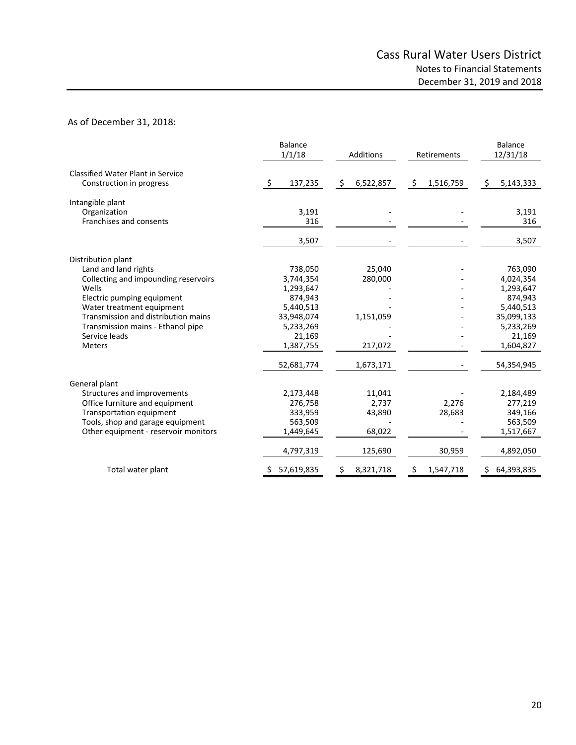#### As of December 31, 2018:

|                                      | Balance<br>1/1/18 | Additions       | Retirements     | Balance<br>12/31/18 |
|--------------------------------------|-------------------|-----------------|-----------------|---------------------|
| Classified Water Plant in Service    |                   |                 |                 |                     |
| Construction in progress             | Ŝ.<br>137,235     | \$<br>6,522,857 | \$<br>1,516,759 | \$<br>5,143,333     |
| Intangible plant                     |                   |                 |                 |                     |
| Organization                         | 3,191             |                 |                 | 3,191               |
| Franchises and consents              | 316               |                 |                 | 316                 |
|                                      | 3,507             |                 |                 | 3,507               |
| Distribution plant                   |                   |                 |                 |                     |
| Land and land rights                 | 738,050           | 25,040          |                 | 763,090             |
| Collecting and impounding reservoirs | 3,744,354         | 280,000         |                 | 4,024,354           |
| Wells                                | 1,293,647         |                 |                 | 1,293,647           |
| Electric pumping equipment           | 874,943           |                 |                 | 874,943             |
| Water treatment equipment            | 5,440,513         |                 |                 | 5,440,513           |
| Transmission and distribution mains  | 33,948,074        | 1,151,059       |                 | 35,099,133          |
| Transmission mains - Ethanol pipe    | 5,233,269         |                 |                 | 5,233,269           |
| Service leads                        | 21,169            |                 |                 | 21,169              |
| <b>Meters</b>                        | 1,387,755         | 217,072         |                 | 1,604,827           |
|                                      | 52,681,774        | 1,673,171       |                 | 54,354,945          |
| General plant                        |                   |                 |                 |                     |
| Structures and improvements          | 2,173,448         | 11,041          |                 | 2,184,489           |
| Office furniture and equipment       | 276,758           | 2,737           | 2,276           | 277,219             |
| Transportation equipment             | 333,959           | 43,890          | 28,683          | 349,166             |
| Tools, shop and garage equipment     | 563,509           |                 |                 | 563,509             |
| Other equipment - reservoir monitors | 1,449,645         | 68,022          |                 | 1,517,667           |
|                                      | 4,797,319         | 125,690         | 30,959          | 4,892,050           |
| Total water plant                    | 57,619,835        | \$<br>8,321,718 | \$<br>1,547,718 | 64,393,835<br>S     |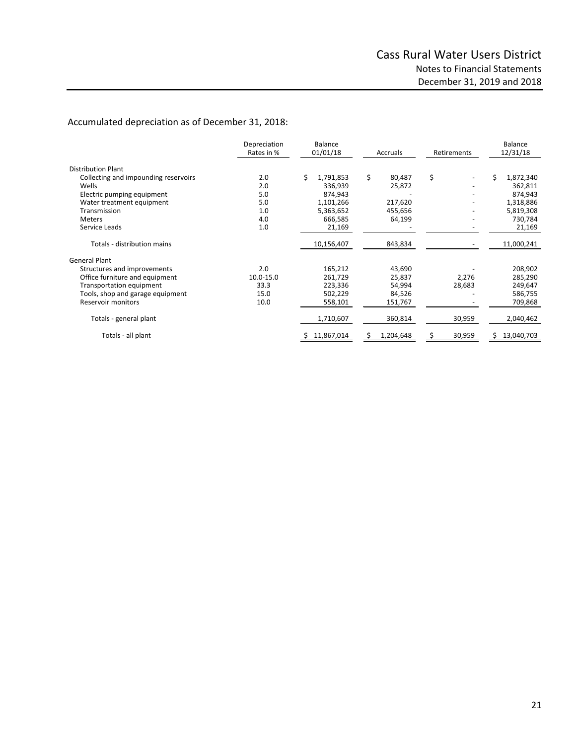## Accumulated depreciation as of December 31, 2018:

|                                      | Depreciation<br>01/01/18<br>Rates in % |                  | Accruals       | Retirements | Balance<br>12/31/18 |  |
|--------------------------------------|----------------------------------------|------------------|----------------|-------------|---------------------|--|
| <b>Distribution Plant</b>            |                                        |                  |                |             |                     |  |
| Collecting and impounding reservoirs | 2.0                                    | \$<br>1,791,853  | \$<br>80,487   | \$          | Ś<br>1,872,340      |  |
| Wells                                | 2.0                                    | 336,939          | 25,872         |             | 362,811             |  |
| Electric pumping equipment           | 5.0                                    | 874,943          |                |             | 874,943             |  |
| Water treatment equipment            | 5.0                                    | 1,101,266        | 217,620        |             | 1,318,886           |  |
| Transmission                         | 1.0                                    | 5,363,652        | 455,656        |             | 5,819,308           |  |
| <b>Meters</b>                        | 4.0                                    | 666,585          | 64,199         |             | 730,784             |  |
| Service Leads                        | 1.0                                    | 21,169           |                |             | 21,169              |  |
| Totals - distribution mains          |                                        | 10,156,407       | 843,834        |             | 11,000,241          |  |
| <b>General Plant</b>                 |                                        |                  |                |             |                     |  |
| Structures and improvements          | 2.0                                    | 165,212          | 43,690         |             | 208,902             |  |
| Office furniture and equipment       | 10.0-15.0                              | 261,729          | 25,837         | 2,276       | 285,290             |  |
| Transportation equipment             | 33.3                                   | 223,336          | 54,994         | 28,683      | 249,647             |  |
| Tools, shop and garage equipment     | 15.0                                   | 502,229          | 84,526         |             | 586,755             |  |
| <b>Reservoir monitors</b>            | 10.0                                   | 558,101          | 151,767        |             | 709,868             |  |
| Totals - general plant               |                                        | 1,710,607        | 360,814        | 30,959      | 2,040,462           |  |
| Totals - all plant                   |                                        | 11,867,014<br>\$ | 1,204,648<br>s | 30,959<br>Ş | 13,040,703<br>Ş     |  |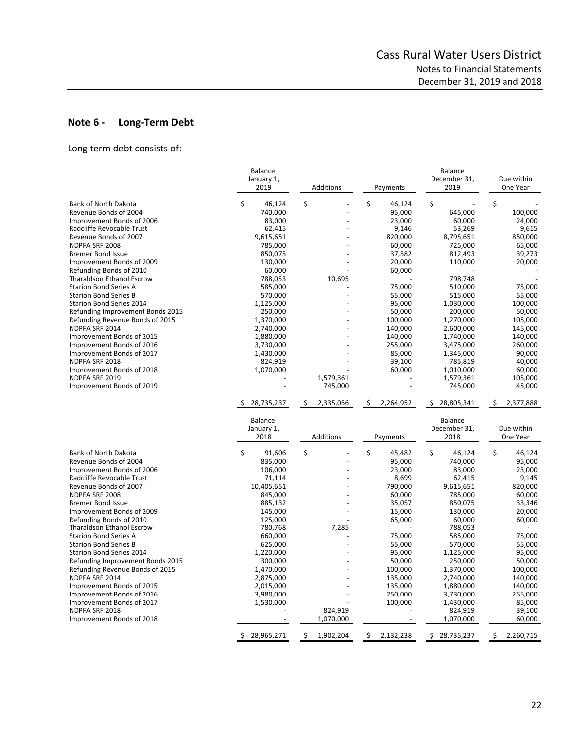# **Note 6 ‐ Long‐Term Debt**

Long term debt consists of:

|                                                        | <b>Balance</b><br>January 1,<br>2019 | Additions       | Payments         | Balance<br>December 31,<br>2019 | Due within<br>One Year |
|--------------------------------------------------------|--------------------------------------|-----------------|------------------|---------------------------------|------------------------|
| <b>Bank of North Dakota</b>                            | \$<br>46,124                         | \$              | \$<br>46,124     | \$                              | \$                     |
| Revenue Bonds of 2004                                  | 740,000                              |                 | 95,000           | 645,000                         | 100,000                |
| Improvement Bonds of 2006                              | 83,000                               |                 | 23,000           | 60,000                          | 24,000                 |
| Radcliffe Revocable Trust                              | 62,415                               |                 | 9,146            | 53,269                          | 9,615                  |
| Revenue Bonds of 2007                                  | 9,615,651                            |                 | 820,000          | 8,795,651                       | 850,000                |
| NDPFA SRF 2008                                         | 785,000                              |                 | 60,000           | 725,000                         | 65,000                 |
| <b>Bremer Bond Issue</b>                               | 850,075                              |                 | 37,582           | 812,493                         | 39,273                 |
| Improvement Bonds of 2009                              | 130,000                              |                 | 20,000           | 110,000                         | 20,000                 |
| Refunding Bonds of 2010                                | 60,000                               |                 | 60,000           |                                 |                        |
| <b>Tharaldson Ethanol Escrow</b>                       | 788,053                              | 10,695          |                  | 798,748                         |                        |
| <b>Starion Bond Series A</b>                           | 585,000                              |                 | 75,000           | 510,000                         | 75,000                 |
| <b>Starion Bond Series B</b>                           | 570,000                              |                 | 55,000           | 515,000                         | 55,000                 |
| <b>Starion Bond Series 2014</b>                        | 1,125,000                            |                 | 95,000           | 1,030,000                       | 100,000                |
| Refunding Improvement Bonds 2015                       | 250,000                              |                 | 50,000           | 200,000                         | 50,000                 |
| Refunding Revenue Bonds of 2015                        | 1,370,000                            |                 | 100,000          | 1,270,000                       | 105,000                |
| NDPFA SRF 2014                                         | 2,740,000                            |                 | 140,000          | 2,600,000                       | 145,000                |
| Improvement Bonds of 2015                              | 1,880,000                            |                 | 140,000          | 1,740,000                       | 140,000                |
| Improvement Bonds of 2016                              | 3.730.000                            |                 | 255.000          | 3,475,000                       | 260.000                |
| Improvement Bonds of 2017                              | 1,430,000                            |                 | 85,000           | 1,345,000                       | 90,000                 |
| NDPFA SRF 2018                                         | 824,919                              |                 | 39,100           | 785,819                         | 40,000                 |
| Improvement Bonds of 2018                              | 1,070,000                            |                 | 60,000           | 1,010,000                       | 60,000                 |
| NDPFA SRF 2019                                         |                                      | 1,579,361       |                  | 1,579,361                       | 105,000                |
| Improvement Bonds of 2019                              |                                      | 745,000         |                  | 745,000                         | 45,000                 |
|                                                        | \$<br>28,735,237                     | \$<br>2,335,056 | \$<br>2,264,952  | \$<br>28,805,341                | \$<br>2,377,888        |
|                                                        | <b>Balance</b>                       |                 |                  | Balance                         |                        |
|                                                        | January 1,                           |                 |                  | December 31,                    | Due within             |
|                                                        | 2018                                 | Additions       | Payments         | 2018                            | One Year               |
|                                                        | \$                                   |                 | \$               |                                 |                        |
| <b>Bank of North Dakota</b>                            | 91,606<br>835,000                    | \$              | 45,482           | \$<br>46,124<br>740,000         | \$<br>46,124           |
| Revenue Bonds of 2004                                  | 106,000                              |                 | 95,000<br>23,000 | 83,000                          | 95,000<br>23,000       |
| Improvement Bonds of 2006<br>Radcliffe Revocable Trust | 71,114                               |                 | 8,699            | 62,415                          | 9,145                  |
| Revenue Bonds of 2007                                  | 10,405,651                           |                 | 790,000          | 9,615,651                       | 820,000                |
| NDPFA SRF 2008                                         | 845,000                              |                 | 60,000           | 785,000                         | 60,000                 |
| <b>Bremer Bond Issue</b>                               | 885,132                              |                 | 35,057           | 850,075                         | 33,346                 |
| Improvement Bonds of 2009                              | 145,000                              |                 | 15,000           | 130,000                         | 20,000                 |
| Refunding Bonds of 2010                                | 125,000                              |                 | 65,000           | 60,000                          | 60,000                 |
| <b>Tharaldson Ethanol Escrow</b>                       | 780,768                              | 7,285           |                  | 788,053                         |                        |
| <b>Starion Bond Series A</b>                           | 660,000                              |                 | 75,000           | 585,000                         | 75,000                 |
| <b>Starion Bond Series B</b>                           | 625,000                              |                 | 55,000           | 570,000                         | 55,000                 |
| <b>Starion Bond Series 2014</b>                        | 1,220,000                            |                 | 95,000           | 1,125,000                       | 95,000                 |
| Refunding Improvement Bonds 2015                       | 300,000                              |                 | 50,000           | 250,000                         | 50,000                 |
| Refunding Revenue Bonds of 2015                        | 1,470,000                            |                 | 100,000          | 1,370,000                       | 100,000                |
| NDPFA SRF 2014                                         | 2,875,000                            |                 | 135,000          | 2,740,000                       | 140,000                |
| Improvement Bonds of 2015                              | 2,015,000                            |                 | 135,000          | 1,880,000                       | 140,000                |
| Improvement Bonds of 2016                              | 3,980,000                            |                 | 250,000          | 3,730,000                       | 255,000                |
| Improvement Bonds of 2017                              | 1,530,000                            |                 | 100,000          | 1,430,000                       | 85,000                 |
| NDPFA SRF 2018                                         |                                      | 824,919         |                  | 824,919                         | 39,100                 |
| Improvement Bonds of 2018                              |                                      | 1,070,000       |                  | 1,070,000                       | 60,000                 |
|                                                        | 28,965,271<br>\$.                    | \$<br>1,902,204 | \$<br>2,132,238  | \$<br>28,735,237                | \$<br>2,260,715        |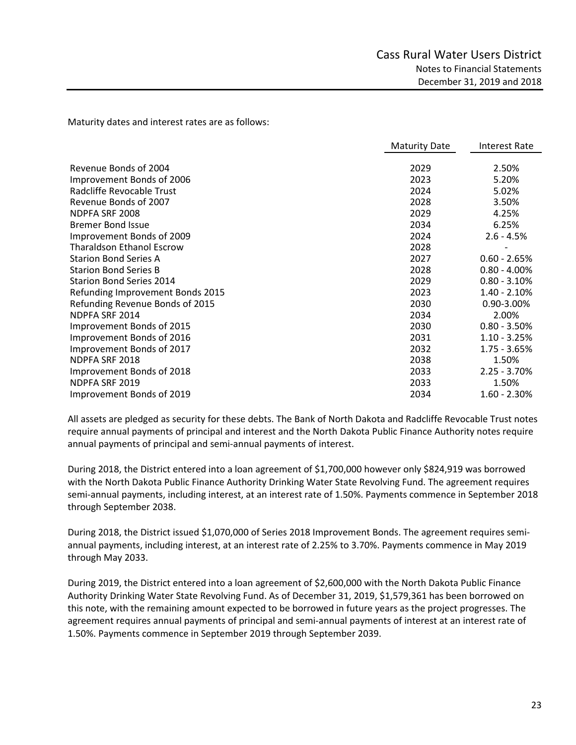Maturity dates and interest rates are as follows:

|                                  | <b>Maturity Date</b> | <b>Interest Rate</b> |
|----------------------------------|----------------------|----------------------|
|                                  |                      |                      |
| Revenue Bonds of 2004            | 2029                 | 2.50%                |
| Improvement Bonds of 2006        | 2023                 | 5.20%                |
| Radcliffe Revocable Trust        | 2024                 | 5.02%                |
| Revenue Bonds of 2007            | 2028                 | 3.50%                |
| NDPFA SRF 2008                   | 2029                 | 4.25%                |
| <b>Bremer Bond Issue</b>         | 2034                 | 6.25%                |
| Improvement Bonds of 2009        | 2024                 | $2.6 - 4.5%$         |
| <b>Tharaldson Ethanol Escrow</b> | 2028                 |                      |
| <b>Starion Bond Series A</b>     | 2027                 | $0.60 - 2.65%$       |
| <b>Starion Bond Series B</b>     | 2028                 | $0.80 - 4.00\%$      |
| <b>Starion Bond Series 2014</b>  | 2029                 | $0.80 - 3.10%$       |
| Refunding Improvement Bonds 2015 | 2023                 | $1.40 - 2.10%$       |
| Refunding Revenue Bonds of 2015  | 2030                 | 0.90-3.00%           |
| NDPFA SRF 2014                   | 2034                 | 2.00%                |
| Improvement Bonds of 2015        | 2030                 | $0.80 - 3.50\%$      |
| Improvement Bonds of 2016        | 2031                 | $1.10 - 3.25%$       |
| Improvement Bonds of 2017        | 2032                 | $1.75 - 3.65%$       |
| NDPFA SRF 2018                   | 2038                 | 1.50%                |
| Improvement Bonds of 2018        | 2033                 | $2.25 - 3.70%$       |
| NDPFA SRF 2019                   | 2033                 | 1.50%                |
| Improvement Bonds of 2019        | 2034                 | $1.60 - 2.30%$       |

All assets are pledged as security for these debts. The Bank of North Dakota and Radcliffe Revocable Trust notes require annual payments of principal and interest and the North Dakota Public Finance Authority notes require annual payments of principal and semi‐annual payments of interest.

During 2018, the District entered into a loan agreement of \$1,700,000 however only \$824,919 was borrowed with the North Dakota Public Finance Authority Drinking Water State Revolving Fund. The agreement requires semi-annual payments, including interest, at an interest rate of 1.50%. Payments commence in September 2018 through September 2038.

During 2018, the District issued \$1,070,000 of Series 2018 Improvement Bonds. The agreement requires semi‐ annual payments, including interest, at an interest rate of 2.25% to 3.70%. Payments commence in May 2019 through May 2033.

During 2019, the District entered into a loan agreement of \$2,600,000 with the North Dakota Public Finance Authority Drinking Water State Revolving Fund. As of December 31, 2019, \$1,579,361 has been borrowed on this note, with the remaining amount expected to be borrowed in future years as the project progresses. The agreement requires annual payments of principal and semi‐annual payments of interest at an interest rate of 1.50%. Payments commence in September 2019 through September 2039.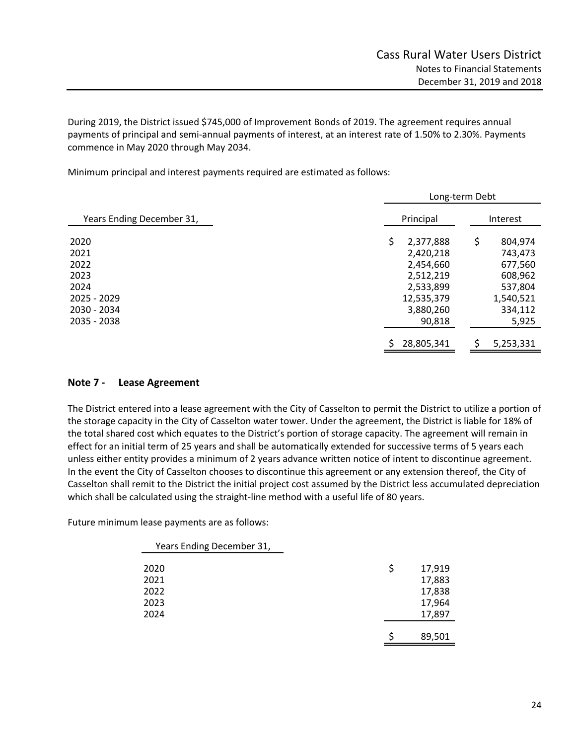During 2019, the District issued \$745,000 of Improvement Bonds of 2019. The agreement requires annual payments of principal and semi‐annual payments of interest, at an interest rate of 1.50% to 2.30%. Payments commence in May 2020 through May 2034.

Minimum principal and interest payments required are estimated as follows:

|                           | Long-term Debt  |               |  |  |  |  |
|---------------------------|-----------------|---------------|--|--|--|--|
| Years Ending December 31, | Principal       | Interest      |  |  |  |  |
| 2020                      | \$<br>2,377,888 | \$<br>804,974 |  |  |  |  |
| 2021                      | 2,420,218       | 743,473       |  |  |  |  |
| 2022                      | 2,454,660       | 677,560       |  |  |  |  |
| 2023                      | 2,512,219       | 608,962       |  |  |  |  |
| 2024                      | 2,533,899       | 537,804       |  |  |  |  |
| 2025 - 2029               | 12,535,379      | 1,540,521     |  |  |  |  |
| 2030 - 2034               | 3,880,260       | 334,112       |  |  |  |  |
| 2035 - 2038               | 90,818          | 5,925         |  |  |  |  |
|                           | 28,805,341      | 5,253,331     |  |  |  |  |

# **Note 7 ‐ Lease Agreement**

The District entered into a lease agreement with the City of Casselton to permit the District to utilize a portion of the storage capacity in the City of Casselton water tower. Under the agreement, the District is liable for 18% of the total shared cost which equates to the District's portion of storage capacity. The agreement will remain in effect for an initial term of 25 years and shall be automatically extended for successive terms of 5 years each unless either entity provides a minimum of 2 years advance written notice of intent to discontinue agreement. In the event the City of Casselton chooses to discontinue this agreement or any extension thereof, the City of Casselton shall remit to the District the initial project cost assumed by the District less accumulated depreciation which shall be calculated using the straight-line method with a useful life of 80 years.

Future minimum lease payments are as follows:

| Years Ending December 31,            |   |                                                |
|--------------------------------------|---|------------------------------------------------|
| 2020<br>2021<br>2022<br>2023<br>2024 | Ş | 17,919<br>17,883<br>17,838<br>17,964<br>17,897 |
|                                      |   | 89,501                                         |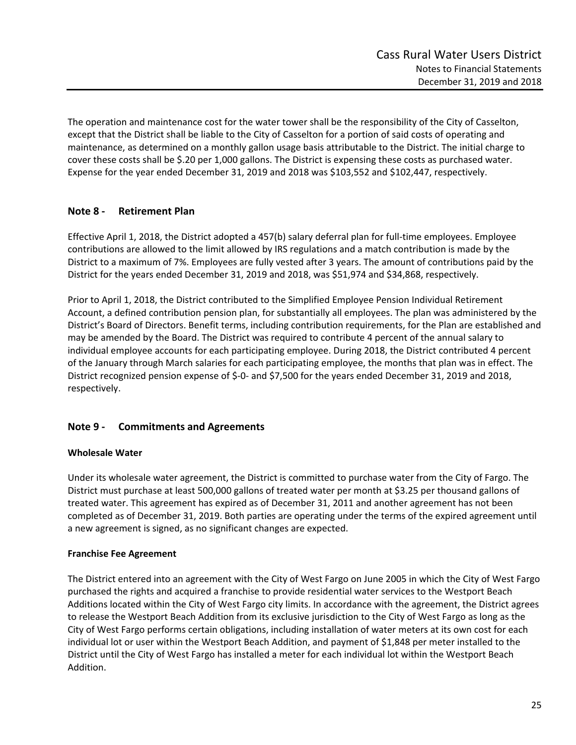The operation and maintenance cost for the water tower shall be the responsibility of the City of Casselton, except that the District shall be liable to the City of Casselton for a portion of said costs of operating and maintenance, as determined on a monthly gallon usage basis attributable to the District. The initial charge to cover these costs shall be \$.20 per 1,000 gallons. The District is expensing these costs as purchased water. Expense for the year ended December 31, 2019 and 2018 was \$103,552 and \$102,447, respectively.

# **Note 8 ‐ Retirement Plan**

Effective April 1, 2018, the District adopted a 457(b) salary deferral plan for full‐time employees. Employee contributions are allowed to the limit allowed by IRS regulations and a match contribution is made by the District to a maximum of 7%. Employees are fully vested after 3 years. The amount of contributions paid by the District for the years ended December 31, 2019 and 2018, was \$51,974 and \$34,868, respectively.

Prior to April 1, 2018, the District contributed to the Simplified Employee Pension Individual Retirement Account, a defined contribution pension plan, for substantially all employees. The plan was administered by the District's Board of Directors. Benefit terms, including contribution requirements, for the Plan are established and may be amended by the Board. The District was required to contribute 4 percent of the annual salary to individual employee accounts for each participating employee. During 2018, the District contributed 4 percent of the January through March salaries for each participating employee, the months that plan was in effect. The District recognized pension expense of \$‐0‐ and \$7,500 for the years ended December 31, 2019 and 2018, respectively.

# **Note 9 ‐ Commitments and Agreements**

## **Wholesale Water**

Under its wholesale water agreement, the District is committed to purchase water from the City of Fargo. The District must purchase at least 500,000 gallons of treated water per month at \$3.25 per thousand gallons of treated water. This agreement has expired as of December 31, 2011 and another agreement has not been completed as of December 31, 2019. Both parties are operating under the terms of the expired agreement until a new agreement is signed, as no significant changes are expected.

# **Franchise Fee Agreement**

The District entered into an agreement with the City of West Fargo on June 2005 in which the City of West Fargo purchased the rights and acquired a franchise to provide residential water services to the Westport Beach Additions located within the City of West Fargo city limits. In accordance with the agreement, the District agrees to release the Westport Beach Addition from its exclusive jurisdiction to the City of West Fargo as long as the City of West Fargo performs certain obligations, including installation of water meters at its own cost for each individual lot or user within the Westport Beach Addition, and payment of \$1,848 per meter installed to the District until the City of West Fargo has installed a meter for each individual lot within the Westport Beach Addition.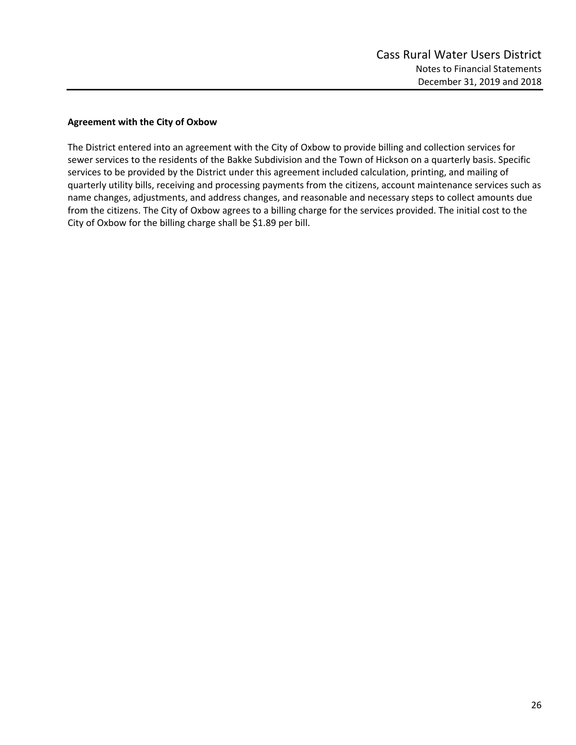## **Agreement with the City of Oxbow**

The District entered into an agreement with the City of Oxbow to provide billing and collection services for sewer services to the residents of the Bakke Subdivision and the Town of Hickson on a quarterly basis. Specific services to be provided by the District under this agreement included calculation, printing, and mailing of quarterly utility bills, receiving and processing payments from the citizens, account maintenance services such as name changes, adjustments, and address changes, and reasonable and necessary steps to collect amounts due from the citizens. The City of Oxbow agrees to a billing charge for the services provided. The initial cost to the City of Oxbow for the billing charge shall be \$1.89 per bill.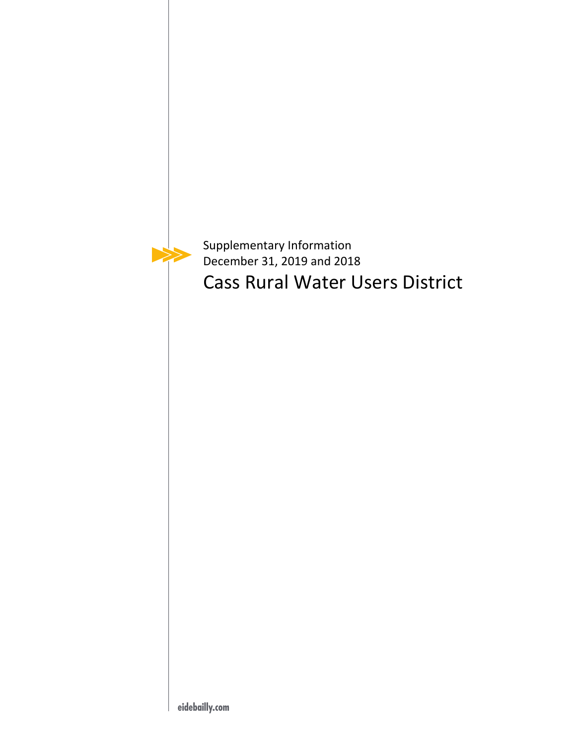

Supplementary Information December 31, 2019 and 2018 Cass Rural Water Users District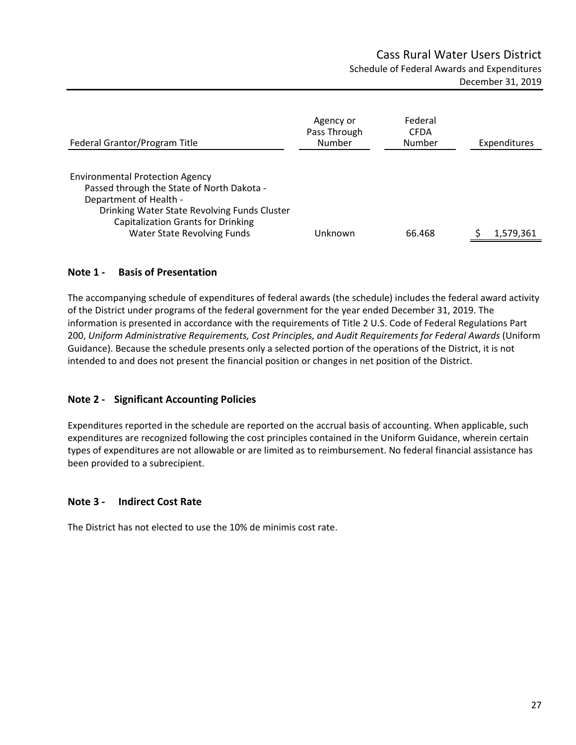| Federal Grantor/Program Title                                                                                                                                                                                                              | Agency or<br>Pass Through<br>Number | Federal<br><b>CFDA</b><br>Number | <b>Expenditures</b> |
|--------------------------------------------------------------------------------------------------------------------------------------------------------------------------------------------------------------------------------------------|-------------------------------------|----------------------------------|---------------------|
| <b>Environmental Protection Agency</b><br>Passed through the State of North Dakota -<br>Department of Health -<br>Drinking Water State Revolving Funds Cluster<br><b>Capitalization Grants for Drinking</b><br>Water State Revolving Funds | Unknown                             | 66.468                           | 1,579,361           |

# **Note 1 ‐ Basis of Presentation**

The accompanying schedule of expenditures of federal awards (the schedule) includes the federal award activity of the District under programs of the federal government for the year ended December 31, 2019. The information is presented in accordance with the requirements of Title 2 U.S. Code of Federal Regulations Part 200, *Uniform Administrative Requirements, Cost Principles, and Audit Requirements for Federal Awards* (Uniform Guidance). Because the schedule presents only a selected portion of the operations of the District, it is not intended to and does not present the financial position or changes in net position of the District.

# **Note 2 ‐ Significant Accounting Policies**

Expenditures reported in the schedule are reported on the accrual basis of accounting. When applicable, such expenditures are recognized following the cost principles contained in the Uniform Guidance, wherein certain types of expenditures are not allowable or are limited as to reimbursement. No federal financial assistance has been provided to a subrecipient.

# **Note 3 ‐ Indirect Cost Rate**

The District has not elected to use the 10% de minimis cost rate.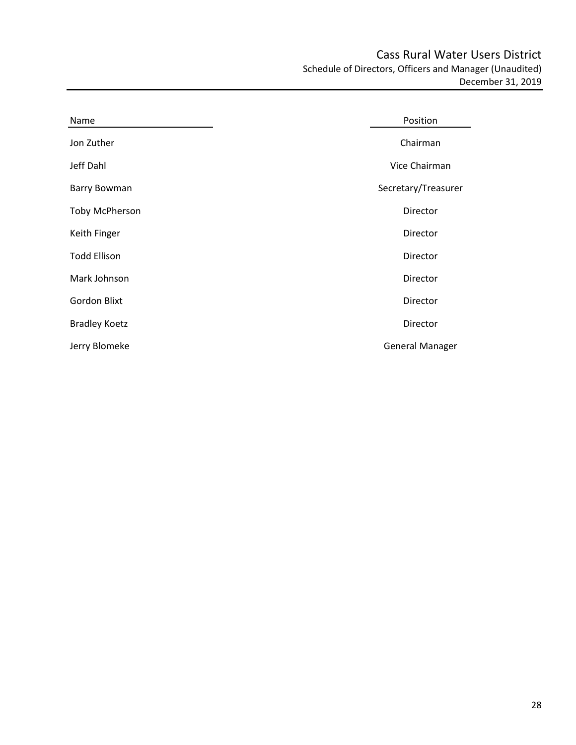Cass Rural Water Users District Schedule of Directors, Officers and Manager (Unaudited) December 31, 2019

| Name                  | Position               |
|-----------------------|------------------------|
| Jon Zuther            | Chairman               |
| Jeff Dahl             | Vice Chairman          |
| <b>Barry Bowman</b>   | Secretary/Treasurer    |
| <b>Toby McPherson</b> | Director               |
| Keith Finger          | Director               |
| <b>Todd Ellison</b>   | Director               |
| Mark Johnson          | Director               |
| <b>Gordon Blixt</b>   | Director               |
| <b>Bradley Koetz</b>  | Director               |
| Jerry Blomeke         | <b>General Manager</b> |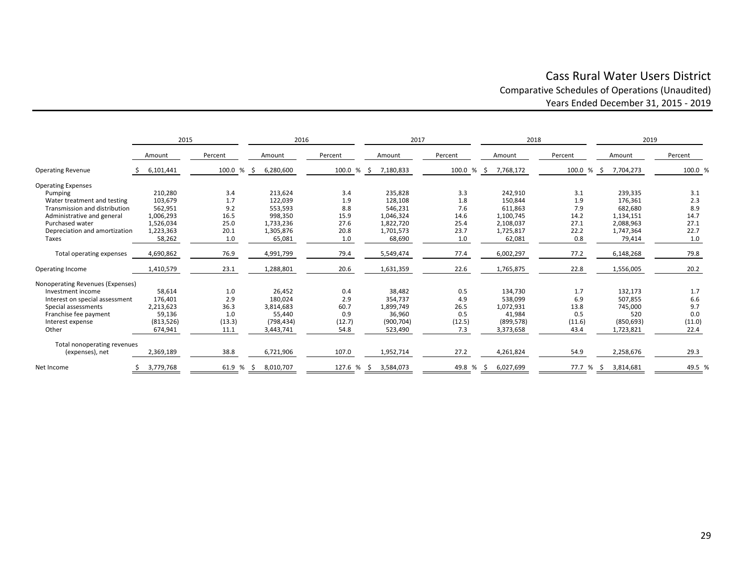# Cass Rural Water Users District Comparative Schedules of Operations (Unaudited) Years Ended December 31, 2015 ‐ 2019

|                                  | 2015                      |         | 2016             |            | 2017            |               | 2018            |               | 2019              |         |
|----------------------------------|---------------------------|---------|------------------|------------|-----------------|---------------|-----------------|---------------|-------------------|---------|
|                                  | Amount                    | Percent | Amount           | Percent    | Amount          | Percent       | Amount          | Percent       | Amount            | Percent |
| <b>Operating Revenue</b>         | 6,101,441<br>$\mathsf{S}$ | 100.0 % | 6,280,600<br>-\$ | 100.0 % \$ | 7,180,833       | $100.0 \%$ \$ | 7,768,172       | $100.0 \%$ \$ | 7,704,273         | 100.0 % |
| <b>Operating Expenses</b>        |                           |         |                  |            |                 |               |                 |               |                   |         |
| Pumping                          | 210,280                   | 3.4     | 213,624          | 3.4        | 235,828         | 3.3           | 242,910         | 3.1           | 239,335           | 3.1     |
| Water treatment and testing      | 103,679                   | 1.7     | 122,039          | 1.9        | 128,108         | 1.8           | 150,844         | 1.9           | 176,361           | 2.3     |
| Transmission and distribution    | 562,951                   | 9.2     | 553,593          | 8.8        | 546,231         | 7.6           | 611,863         | 7.9           | 682,680           | 8.9     |
| Administrative and general       | 1,006,293                 | 16.5    | 998,350          | 15.9       | 1,046,324       | 14.6          | 1,100,745       | 14.2          | 1,134,151         | 14.7    |
| Purchased water                  | 1,526,034                 | 25.0    | 1,733,236        | 27.6       | 1.822.720       | 25.4          | 2,108,037       | 27.1          | 2,088,963         | 27.1    |
| Depreciation and amortization    | 1,223,363                 | 20.1    | 1,305,876        | 20.8       | 1,701,573       | 23.7          | 1,725,817       | 22.2          | 1,747,364         | 22.7    |
| Taxes                            | 58,262                    | 1.0     | 65,081           | 1.0        | 68,690          | 1.0           | 62,081          | 0.8           | 79,414            | 1.0     |
| Total operating expenses         | 4,690,862                 | 76.9    | 4,991,799        | 79.4       | 5,549,474       | 77.4          | 6,002,297       | 77.2          | 6,148,268         | 79.8    |
| Operating Income                 | 1,410,579                 | 23.1    | 1,288,801        | 20.6       | 1,631,359       | 22.6          | 1,765,875       | 22.8          | 1,556,005         | 20.2    |
| Nonoperating Revenues (Expenses) |                           |         |                  |            |                 |               |                 |               |                   |         |
| Investment income                | 58,614                    | 1.0     | 26,452           | 0.4        | 38,482          | 0.5           | 134,730         | 1.7           | 132,173           | 1.7     |
| Interest on special assessment   | 176.401                   | 2.9     | 180.024          | 2.9        | 354.737         | 4.9           | 538.099         | 6.9           | 507.855           | 6.6     |
| Special assessments              | 2,213,623                 | 36.3    | 3,814,683        | 60.7       | 1,899,749       | 26.5          | 1,072,931       | 13.8          | 745,000           | 9.7     |
| Franchise fee payment            | 59,136                    | 1.0     | 55,440           | 0.9        | 36,960          | 0.5           | 41,984          | 0.5           | 520               | 0.0     |
| Interest expense                 | (813, 526)                | (13.3)  | (798, 434)       | (12.7)     | (900, 704)      | (12.5)        | (899, 578)      | (11.6)        | (850, 693)        | (11.0)  |
| Other                            | 674,941                   | 11.1    | 3,443,741        | 54.8       | 523,490         | 7.3           | 3,373,658       | 43.4          | 1,723,821         | 22.4    |
| Total nonoperating revenues      |                           |         |                  |            |                 |               |                 |               |                   |         |
| (expenses), net                  | 2,369,189                 | 38.8    | 6,721,906        | 107.0      | 1,952,714       | 27.2          | 4,261,824       | 54.9          | 2,258,676         | 29.3    |
| Net Income                       | 3,779,768                 | 61.9 %  | 8,010,707<br>-S  | 127.6 %    | 3,584,073<br>S. | 49.8 %        | 6,027,699<br>-S | 77.7 %        | 3,814,681<br>- \$ | 49.5 %  |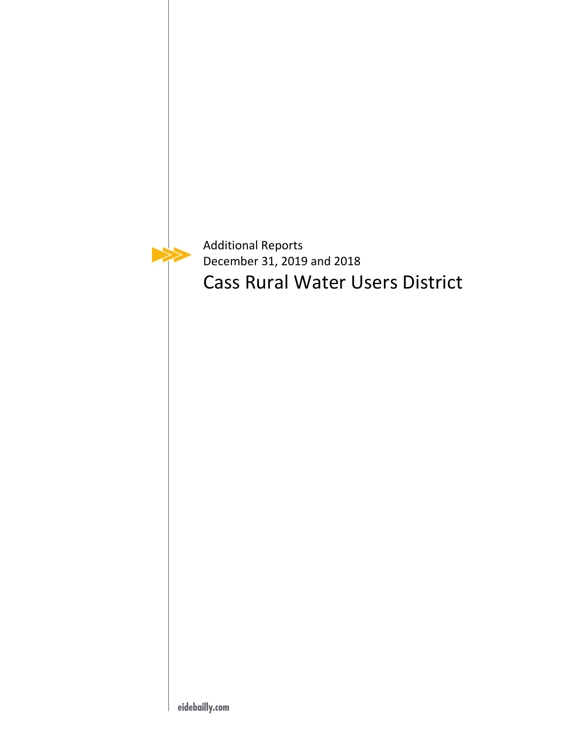$\blacktriangleright$ 

Additional Reports December 31, 2019 and 2018 Cass Rural Water Users District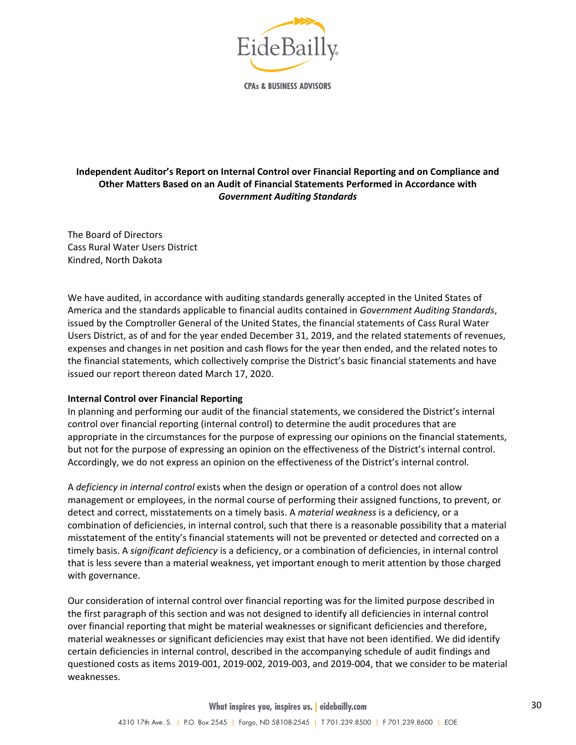

**CPAs & BUSINESS ADVISORS** 

# **Independent Auditor's Report on Internal Control over Financial Reporting and on Compliance and Other Matters Based on an Audit of Financial Statements Performed in Accordance with**  *Government Auditing Standards*

The Board of Directors Cass Rural Water Users District Kindred, North Dakota

We have audited, in accordance with auditing standards generally accepted in the United States of America and the standards applicable to financial audits contained in *Government Auditing Standards*, issued by the Comptroller General of the United States, the financial statements of Cass Rural Water Users District, as of and for the year ended December 31, 2019, and the related statements of revenues, expenses and changes in net position and cash flows for the year then ended, and the related notes to the financial statements, which collectively comprise the District's basic financial statements and have issued our report thereon dated March 17, 2020.

## **Internal Control over Financial Reporting**

In planning and performing our audit of the financial statements, we considered the District's internal control over financial reporting (internal control) to determine the audit procedures that are appropriate in the circumstances for the purpose of expressing our opinions on the financial statements, but not for the purpose of expressing an opinion on the effectiveness of the District's internal control. Accordingly, we do not express an opinion on the effectiveness of the District's internal control.

A *deficiency in internal control* exists when the design or operation of a control does not allow management or employees, in the normal course of performing their assigned functions, to prevent, or detect and correct, misstatements on a timely basis. A *material weakness* is a deficiency, or a combination of deficiencies, in internal control, such that there is a reasonable possibility that a material misstatement of the entity's financial statements will not be prevented or detected and corrected on a timely basis. A *significant deficiency* is a deficiency, or a combination of deficiencies, in internal control that is less severe than a material weakness, yet important enough to merit attention by those charged with governance.

Our consideration of internal control over financial reporting was for the limited purpose described in the first paragraph of this section and was not designed to identify all deficiencies in internal control over financial reporting that might be material weaknesses or significant deficiencies and therefore, material weaknesses or significant deficiencies may exist that have not been identified. We did identify certain deficiencies in internal control, described in the accompanying schedule of audit findings and questioned costs as items 2019‐001, 2019‐002, 2019‐003, and 2019‐004, that we consider to be material weaknesses.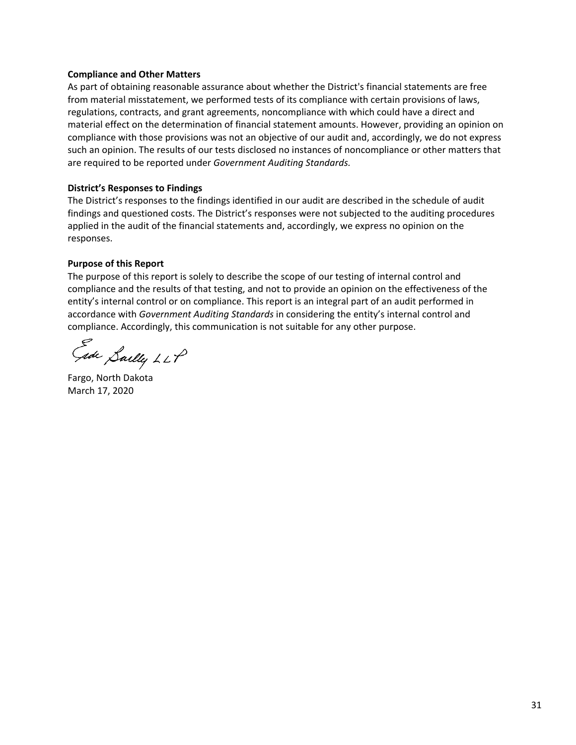### **Compliance and Other Matters**

As part of obtaining reasonable assurance about whether the District's financial statements are free from material misstatement, we performed tests of its compliance with certain provisions of laws, regulations, contracts, and grant agreements, noncompliance with which could have a direct and material effect on the determination of financial statement amounts. However, providing an opinion on compliance with those provisions was not an objective of our audit and, accordingly, we do not express such an opinion. The results of our tests disclosed no instances of noncompliance or other matters that are required to be reported under *Government Auditing Standards.*

#### **District's Responses to Findings**

The District's responses to the findings identified in our audit are described in the schedule of audit findings and questioned costs. The District's responses were not subjected to the auditing procedures applied in the audit of the financial statements and, accordingly, we express no opinion on the responses.

## **Purpose of this Report**

The purpose of this report is solely to describe the scope of our testing of internal control and compliance and the results of that testing, and not to provide an opinion on the effectiveness of the entity's internal control or on compliance. This report is an integral part of an audit performed in accordance with *Government Auditing Standards* in considering the entity's internal control and compliance. Accordingly, this communication is not suitable for any other purpose.

Gede Saelly LLP

Fargo, North Dakota March 17, 2020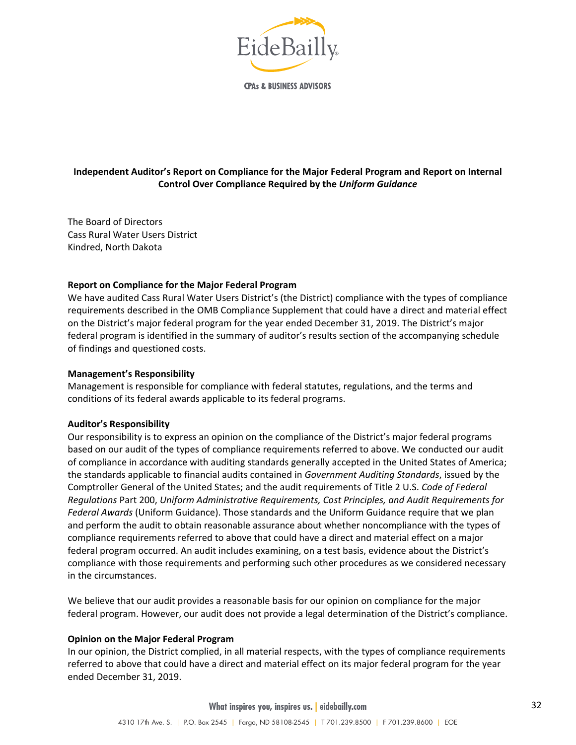

**CPAs & BUSINESS ADVISORS** 

# **Independent Auditor's Report on Compliance for the Major Federal Program and Report on Internal Control Over Compliance Required by the** *Uniform Guidance*

The Board of Directors Cass Rural Water Users District Kindred, North Dakota

## **Report on Compliance for the Major Federal Program**

We have audited Cass Rural Water Users District's (the District) compliance with the types of compliance requirements described in the OMB Compliance Supplement that could have a direct and material effect on the District's major federal program for the year ended December 31, 2019. The District's major federal program is identified in the summary of auditor's results section of the accompanying schedule of findings and questioned costs.

#### **Management's Responsibility**

Management is responsible for compliance with federal statutes, regulations, and the terms and conditions of its federal awards applicable to its federal programs.

#### **Auditor's Responsibility**

Our responsibility is to express an opinion on the compliance of the District's major federal programs based on our audit of the types of compliance requirements referred to above. We conducted our audit of compliance in accordance with auditing standards generally accepted in the United States of America; the standards applicable to financial audits contained in *Government Auditing Standards*, issued by the Comptroller General of the United States; and the audit requirements of Title 2 U.S. *Code of Federal Regulations* Part 200, *Uniform Administrative Requirements, Cost Principles, and Audit Requirements for Federal Awards* (Uniform Guidance). Those standards and the Uniform Guidance require that we plan and perform the audit to obtain reasonable assurance about whether noncompliance with the types of compliance requirements referred to above that could have a direct and material effect on a major federal program occurred. An audit includes examining, on a test basis, evidence about the District's compliance with those requirements and performing such other procedures as we considered necessary in the circumstances.

We believe that our audit provides a reasonable basis for our opinion on compliance for the major federal program. However, our audit does not provide a legal determination of the District's compliance.

#### **Opinion on the Major Federal Program**

In our opinion, the District complied, in all material respects, with the types of compliance requirements referred to above that could have a direct and material effect on its major federal program for the year ended December 31, 2019.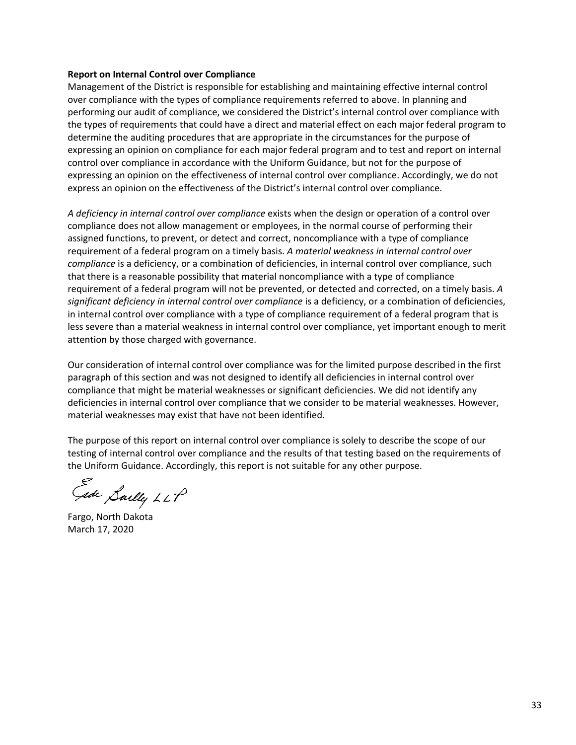#### **Report on Internal Control over Compliance**

Management of the District is responsible for establishing and maintaining effective internal control over compliance with the types of compliance requirements referred to above. In planning and performing our audit of compliance, we considered the District's internal control over compliance with the types of requirements that could have a direct and material effect on each major federal program to determine the auditing procedures that are appropriate in the circumstances for the purpose of expressing an opinion on compliance for each major federal program and to test and report on internal control over compliance in accordance with the Uniform Guidance, but not for the purpose of expressing an opinion on the effectiveness of internal control over compliance. Accordingly, we do not express an opinion on the effectiveness of the District's internal control over compliance.

*A deficiency in internal control over compliance* exists when the design or operation of a control over compliance does not allow management or employees, in the normal course of performing their assigned functions, to prevent, or detect and correct, noncompliance with a type of compliance requirement of a federal program on a timely basis. *A material weakness in internal control over compliance* is a deficiency, or a combination of deficiencies, in internal control over compliance, such that there is a reasonable possibility that material noncompliance with a type of compliance requirement of a federal program will not be prevented, or detected and corrected, on a timely basis. *A significant deficiency in internal control over compliance* is a deficiency, or a combination of deficiencies, in internal control over compliance with a type of compliance requirement of a federal program that is less severe than a material weakness in internal control over compliance, yet important enough to merit attention by those charged with governance.

Our consideration of internal control over compliance was for the limited purpose described in the first paragraph of this section and was not designed to identify all deficiencies in internal control over compliance that might be material weaknesses or significant deficiencies. We did not identify any deficiencies in internal control over compliance that we consider to be material weaknesses. However, material weaknesses may exist that have not been identified.

The purpose of this report on internal control over compliance is solely to describe the scope of our testing of internal control over compliance and the results of that testing based on the requirements of the Uniform Guidance. Accordingly, this report is not suitable for any other purpose.

Gade Saelly LLP

Fargo, North Dakota March 17, 2020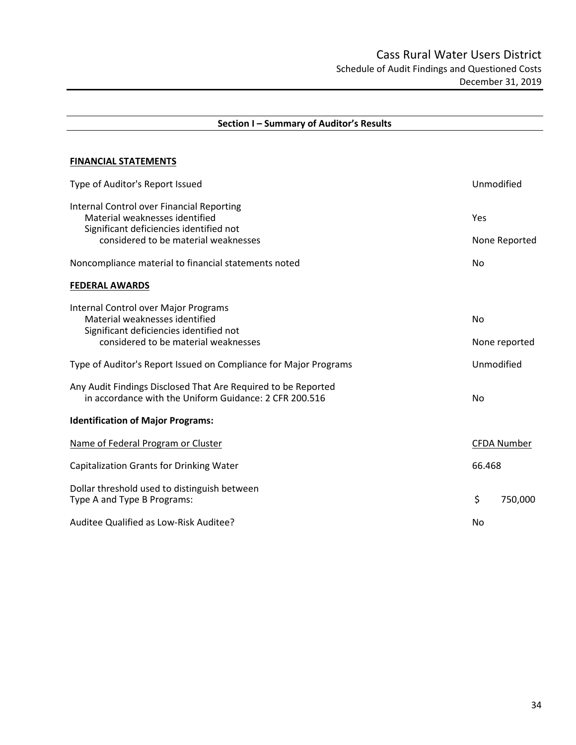| Section I - Summary of Auditor's Results                                                                                                                       |                    |               |
|----------------------------------------------------------------------------------------------------------------------------------------------------------------|--------------------|---------------|
|                                                                                                                                                                |                    |               |
| <b>FINANCIAL STATEMENTS</b>                                                                                                                                    |                    |               |
| Type of Auditor's Report Issued                                                                                                                                |                    | Unmodified    |
| Internal Control over Financial Reporting<br>Material weaknesses identified<br>Significant deficiencies identified not<br>considered to be material weaknesses | Yes                | None Reported |
| Noncompliance material to financial statements noted                                                                                                           | <b>No</b>          |               |
| <b>FEDERAL AWARDS</b>                                                                                                                                          |                    |               |
| Internal Control over Major Programs<br>Material weaknesses identified<br>Significant deficiencies identified not<br>considered to be material weaknesses      | <b>No</b>          | None reported |
| Type of Auditor's Report Issued on Compliance for Major Programs                                                                                               | Unmodified         |               |
| Any Audit Findings Disclosed That Are Required to be Reported<br>in accordance with the Uniform Guidance: 2 CFR 200.516                                        | No                 |               |
| <b>Identification of Major Programs:</b>                                                                                                                       |                    |               |
| Name of Federal Program or Cluster                                                                                                                             | <b>CFDA Number</b> |               |
| Capitalization Grants for Drinking Water                                                                                                                       | 66.468             |               |
| Dollar threshold used to distinguish between<br>Type A and Type B Programs:                                                                                    | \$                 | 750,000       |
| Auditee Qualified as Low-Risk Auditee?                                                                                                                         | No                 |               |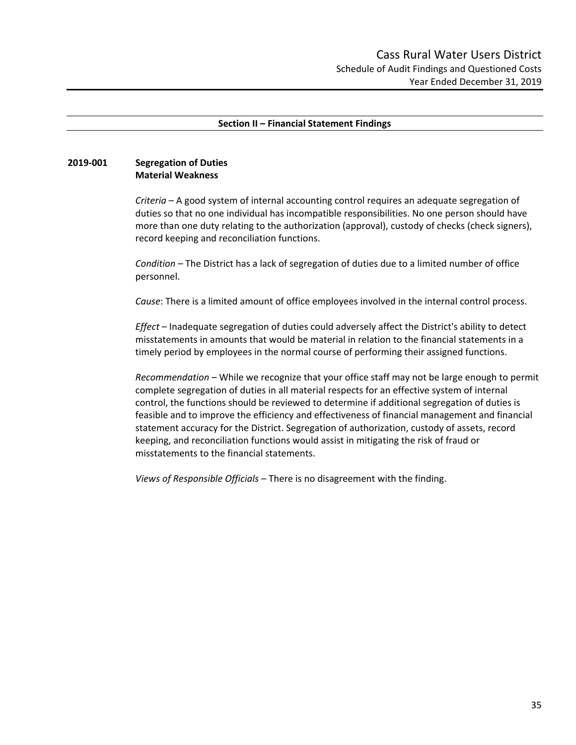#### **Section II – Financial Statement Findings**

## **2019‐001 Segregation of Duties Material Weakness**

*Criteria* – A good system of internal accounting control requires an adequate segregation of duties so that no one individual has incompatible responsibilities. No one person should have more than one duty relating to the authorization (approval), custody of checks (check signers), record keeping and reconciliation functions.

*Condition* – The District has a lack of segregation of duties due to a limited number of office personnel.

*Cause*: There is a limited amount of office employees involved in the internal control process.

*Effect* – Inadequate segregation of duties could adversely affect the District's ability to detect misstatements in amounts that would be material in relation to the financial statements in a timely period by employees in the normal course of performing their assigned functions.

*Recommendation* – While we recognize that your office staff may not be large enough to permit complete segregation of duties in all material respects for an effective system of internal control, the functions should be reviewed to determine if additional segregation of duties is feasible and to improve the efficiency and effectiveness of financial management and financial statement accuracy for the District. Segregation of authorization, custody of assets, record keeping, and reconciliation functions would assist in mitigating the risk of fraud or misstatements to the financial statements.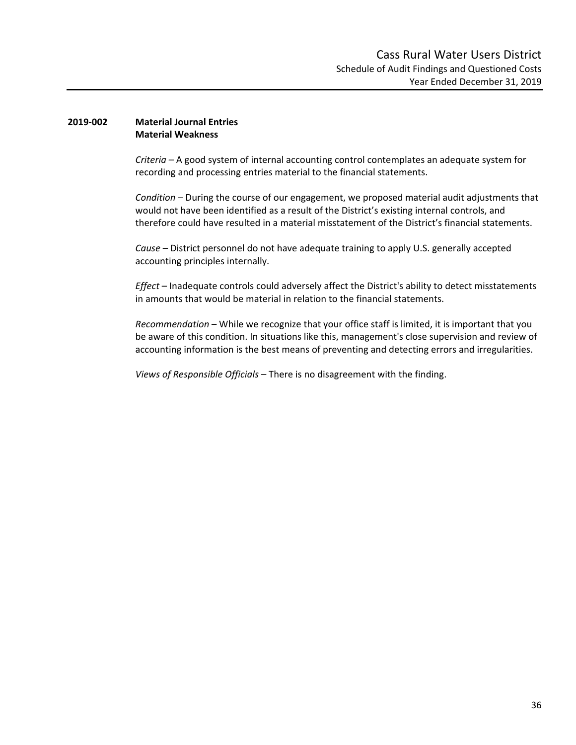## **2019‐002 Material Journal Entries Material Weakness**

*Criteria* – A good system of internal accounting control contemplates an adequate system for recording and processing entries material to the financial statements.

*Condition* – During the course of our engagement, we proposed material audit adjustments that would not have been identified as a result of the District's existing internal controls, and therefore could have resulted in a material misstatement of the District's financial statements.

*Cause* – District personnel do not have adequate training to apply U.S. generally accepted accounting principles internally.

*Effect* – Inadequate controls could adversely affect the District's ability to detect misstatements in amounts that would be material in relation to the financial statements.

*Recommendation* – While we recognize that your office staff is limited, it is important that you be aware of this condition. In situations like this, management's close supervision and review of accounting information is the best means of preventing and detecting errors and irregularities.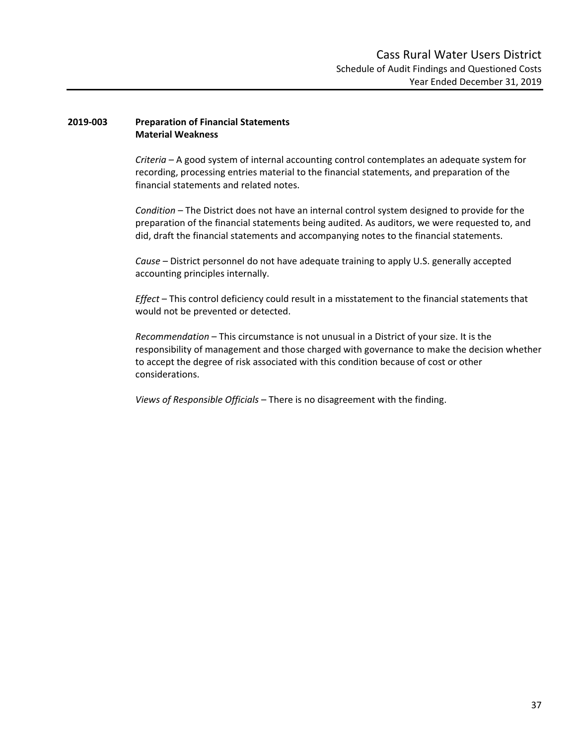## **2019‐003 Preparation of Financial Statements Material Weakness**

*Criteria* – A good system of internal accounting control contemplates an adequate system for recording, processing entries material to the financial statements, and preparation of the financial statements and related notes.

*Condition* – The District does not have an internal control system designed to provide for the preparation of the financial statements being audited. As auditors, we were requested to, and did, draft the financial statements and accompanying notes to the financial statements.

*Cause* – District personnel do not have adequate training to apply U.S. generally accepted accounting principles internally.

*Effect* – This control deficiency could result in a misstatement to the financial statements that would not be prevented or detected.

*Recommendation* – This circumstance is not unusual in a District of your size. It is the responsibility of management and those charged with governance to make the decision whether to accept the degree of risk associated with this condition because of cost or other considerations.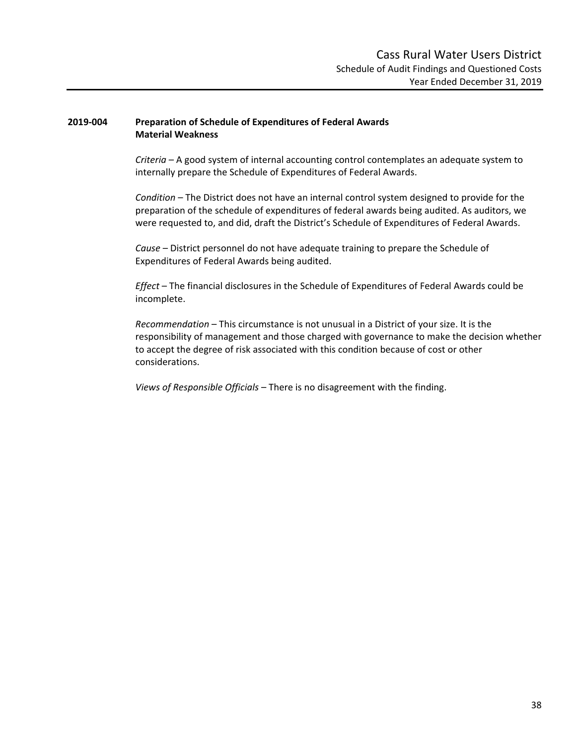## **2019‐004 Preparation of Schedule of Expenditures of Federal Awards Material Weakness**

*Criteria* – A good system of internal accounting control contemplates an adequate system to internally prepare the Schedule of Expenditures of Federal Awards.

*Condition* – The District does not have an internal control system designed to provide for the preparation of the schedule of expenditures of federal awards being audited. As auditors, we were requested to, and did, draft the District's Schedule of Expenditures of Federal Awards.

*Cause* – District personnel do not have adequate training to prepare the Schedule of Expenditures of Federal Awards being audited.

*Effect* – The financial disclosures in the Schedule of Expenditures of Federal Awards could be incomplete.

*Recommendation* – This circumstance is not unusual in a District of your size. It is the responsibility of management and those charged with governance to make the decision whether to accept the degree of risk associated with this condition because of cost or other considerations.